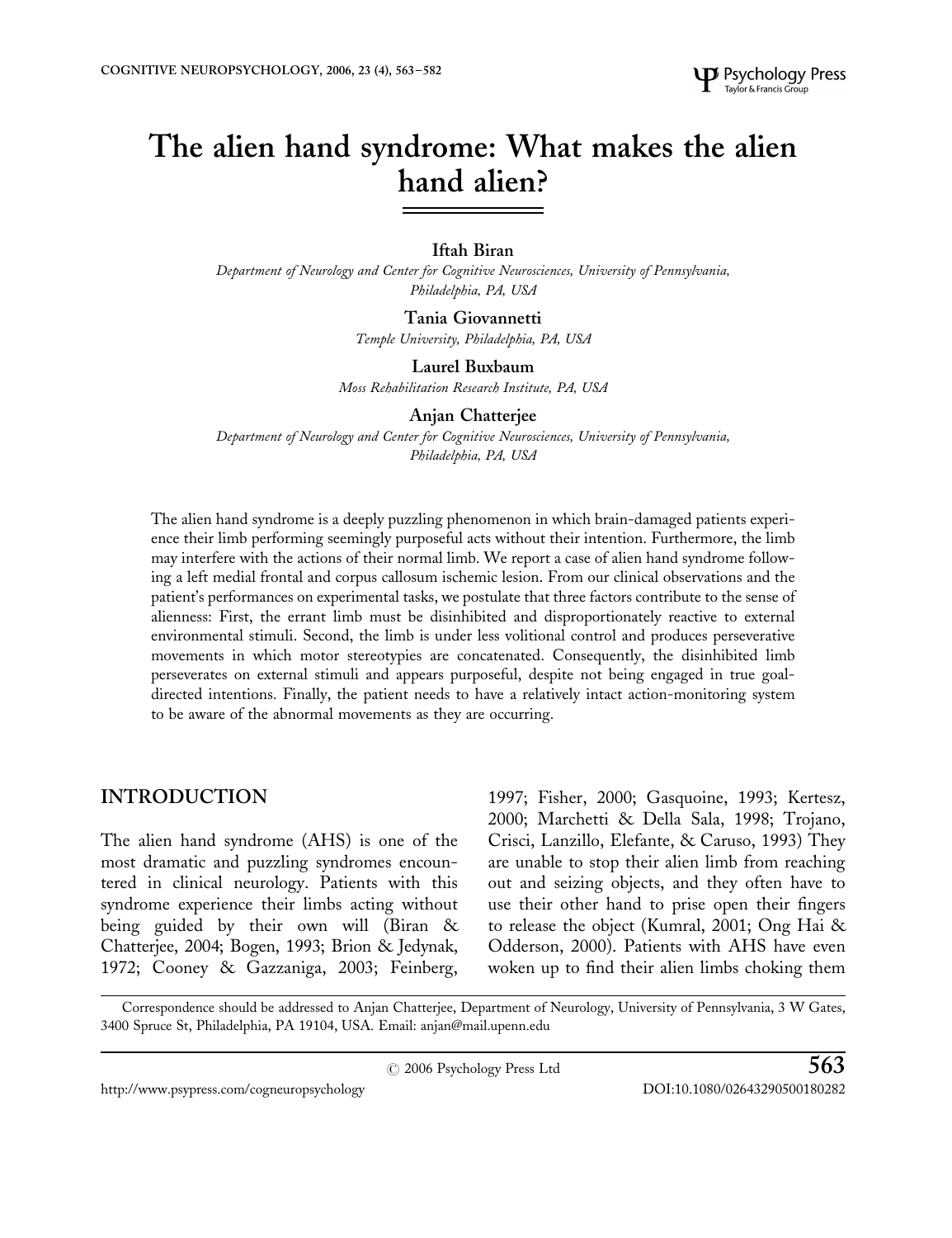# The alien hand syndrome: What makes the alien hand alien?

#### Iftah Biran

Department of Neurology and Center for Cognitive Neurosciences, University of Pennsylvania, Philadelphia, PA, USA

> Tania Giovannetti Temple University, Philadelphia, PA, USA

> > Laurel Buxbaum

Moss Rehabilitation Research Institute, PA, USA

Anjan Chatterjee

Department of Neurology and Center for Cognitive Neurosciences, University of Pennsylvania, Philadelphia, PA, USA

The alien hand syndrome is a deeply puzzling phenomenon in which brain-damaged patients experience their limb performing seemingly purposeful acts without their intention. Furthermore, the limb may interfere with the actions of their normal limb. We report a case of alien hand syndrome following a left medial frontal and corpus callosum ischemic lesion. From our clinical observations and the patient's performances on experimental tasks, we postulate that three factors contribute to the sense of alienness: First, the errant limb must be disinhibited and disproportionately reactive to external environmental stimuli. Second, the limb is under less volitional control and produces perseverative movements in which motor stereotypies are concatenated. Consequently, the disinhibited limb perseverates on external stimuli and appears purposeful, despite not being engaged in true goaldirected intentions. Finally, the patient needs to have a relatively intact action-monitoring system to be aware of the abnormal movements as they are occurring.

## INTRODUCTION

The alien hand syndrome (AHS) is one of the most dramatic and puzzling syndromes encountered in clinical neurology. Patients with this syndrome experience their limbs acting without being guided by their own will (Biran & Chatterjee, 2004; Bogen, 1993; Brion & Jedynak, 1972; Cooney & Gazzaniga, 2003; Feinberg, 1997; Fisher, 2000; Gasquoine, 1993; Kertesz, 2000; Marchetti & Della Sala, 1998; Trojano, Crisci, Lanzillo, Elefante, & Caruso, 1993) They are unable to stop their alien limb from reaching out and seizing objects, and they often have to use their other hand to prise open their fingers to release the object (Kumral, 2001; Ong Hai & Odderson, 2000). Patients with AHS have even woken up to find their alien limbs choking them

Correspondence should be addressed to Anjan Chatterjee, Department of Neurology, University of Pennsylvania, 3 W Gates, 3400 Spruce St, Philadelphia, PA 19104, USA. Email: anjan@mail.upenn.edu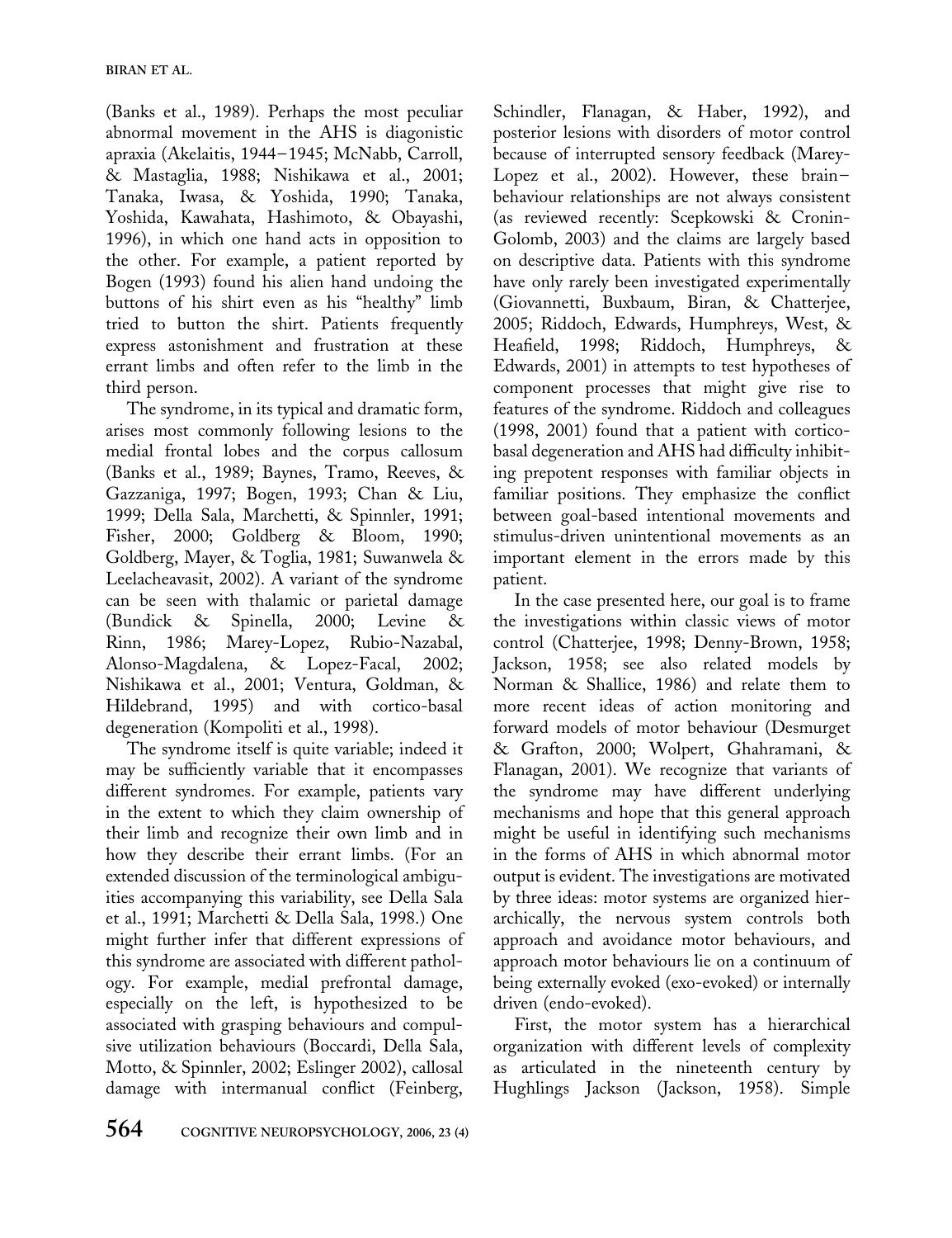(Banks et al., 1989). Perhaps the most peculiar abnormal movement in the AHS is diagonistic apraxia (Akelaitis, 1944–1945; McNabb, Carroll, & Mastaglia, 1988; Nishikawa et al., 2001; Tanaka, Iwasa, & Yoshida, 1990; Tanaka, Yoshida, Kawahata, Hashimoto, & Obayashi, 1996), in which one hand acts in opposition to the other. For example, a patient reported by Bogen (1993) found his alien hand undoing the buttons of his shirt even as his "healthy" limb tried to button the shirt. Patients frequently express astonishment and frustration at these errant limbs and often refer to the limb in the third person.

The syndrome, in its typical and dramatic form, arises most commonly following lesions to the medial frontal lobes and the corpus callosum (Banks et al., 1989; Baynes, Tramo, Reeves, & Gazzaniga, 1997; Bogen, 1993; Chan & Liu, 1999; Della Sala, Marchetti, & Spinnler, 1991; Fisher, 2000; Goldberg & Bloom, 1990; Goldberg, Mayer, & Toglia, 1981; Suwanwela & Leelacheavasit, 2002). A variant of the syndrome can be seen with thalamic or parietal damage (Bundick & Spinella, 2000; Levine & Rinn, 1986; Marey-Lopez, Rubio-Nazabal, Alonso-Magdalena, & Lopez-Facal, 2002; Nishikawa et al., 2001; Ventura, Goldman, & Hildebrand, 1995) and with cortico-basal degeneration (Kompoliti et al., 1998).

The syndrome itself is quite variable; indeed it may be sufficiently variable that it encompasses different syndromes. For example, patients vary in the extent to which they claim ownership of their limb and recognize their own limb and in how they describe their errant limbs. (For an extended discussion of the terminological ambiguities accompanying this variability, see Della Sala et al., 1991; Marchetti & Della Sala, 1998.) One might further infer that different expressions of this syndrome are associated with different pathology. For example, medial prefrontal damage, especially on the left, is hypothesized to be associated with grasping behaviours and compulsive utilization behaviours (Boccardi, Della Sala, Motto, & Spinnler, 2002; Eslinger 2002), callosal damage with intermanual conflict (Feinberg,

Schindler, Flanagan, & Haber, 1992), and posterior lesions with disorders of motor control because of interrupted sensory feedback (Marey-Lopez et al., 2002). However, these brain– behaviour relationships are not always consistent (as reviewed recently: Scepkowski & Cronin-Golomb, 2003) and the claims are largely based on descriptive data. Patients with this syndrome have only rarely been investigated experimentally (Giovannetti, Buxbaum, Biran, & Chatterjee, 2005; Riddoch, Edwards, Humphreys, West, & Heafield, 1998; Riddoch, Humphreys, & Edwards, 2001) in attempts to test hypotheses of component processes that might give rise to features of the syndrome. Riddoch and colleagues (1998, 2001) found that a patient with corticobasal degeneration and AHS had difficulty inhibiting prepotent responses with familiar objects in familiar positions. They emphasize the conflict between goal-based intentional movements and stimulus-driven unintentional movements as an important element in the errors made by this patient.

In the case presented here, our goal is to frame the investigations within classic views of motor control (Chatterjee, 1998; Denny-Brown, 1958; Jackson, 1958; see also related models by Norman & Shallice, 1986) and relate them to more recent ideas of action monitoring and forward models of motor behaviour (Desmurget & Grafton, 2000; Wolpert, Ghahramani, & Flanagan, 2001). We recognize that variants of the syndrome may have different underlying mechanisms and hope that this general approach might be useful in identifying such mechanisms in the forms of AHS in which abnormal motor output is evident. The investigations are motivated by three ideas: motor systems are organized hierarchically, the nervous system controls both approach and avoidance motor behaviours, and approach motor behaviours lie on a continuum of being externally evoked (exo-evoked) or internally driven (endo-evoked).

First, the motor system has a hierarchical organization with different levels of complexity as articulated in the nineteenth century by Hughlings Jackson (Jackson, 1958). Simple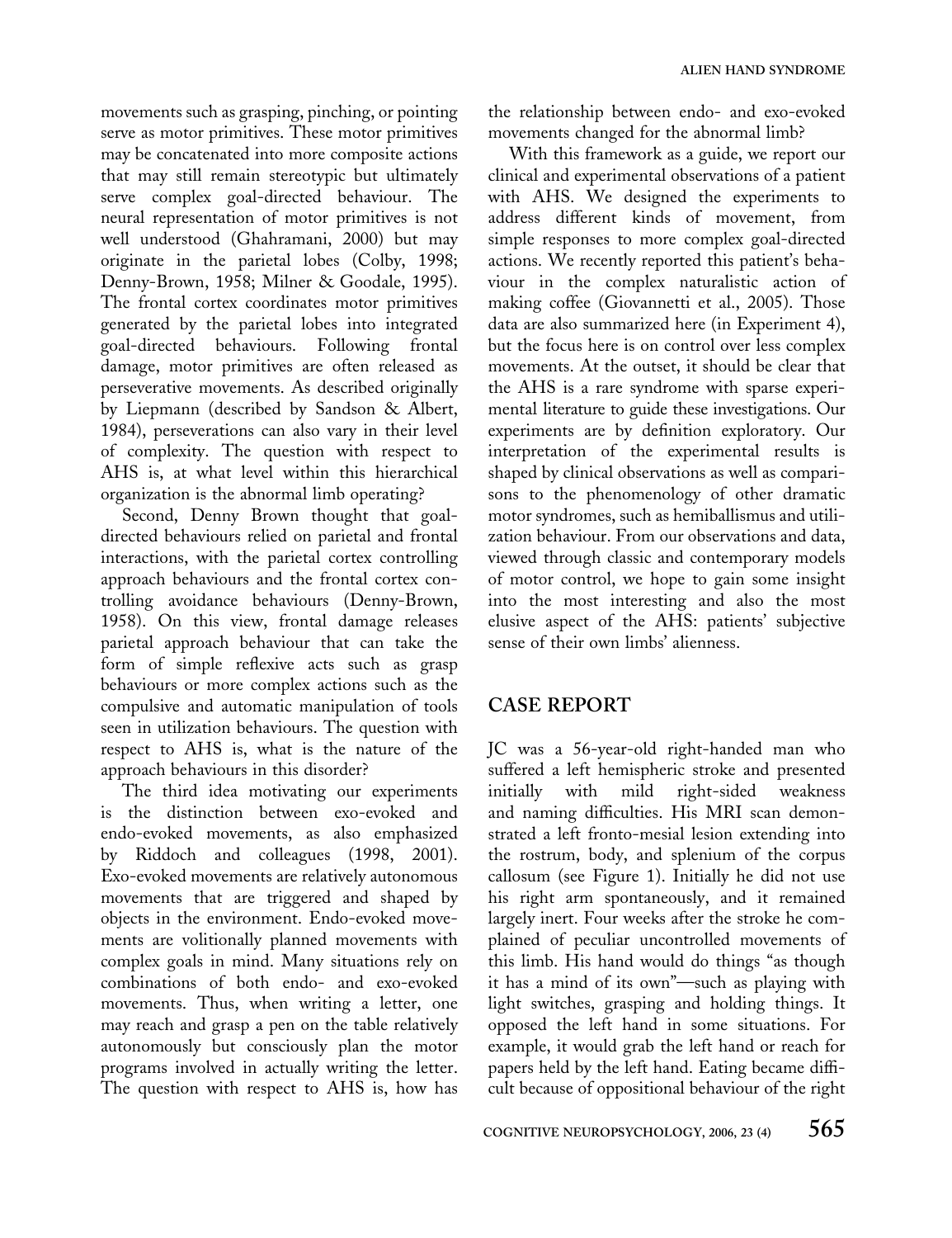movements such as grasping, pinching, or pointing serve as motor primitives. These motor primitives may be concatenated into more composite actions that may still remain stereotypic but ultimately serve complex goal-directed behaviour. The neural representation of motor primitives is not well understood (Ghahramani, 2000) but may originate in the parietal lobes (Colby, 1998; Denny-Brown, 1958; Milner & Goodale, 1995). The frontal cortex coordinates motor primitives generated by the parietal lobes into integrated goal-directed behaviours. Following frontal damage, motor primitives are often released as perseverative movements. As described originally by Liepmann (described by Sandson & Albert, 1984), perseverations can also vary in their level of complexity. The question with respect to AHS is, at what level within this hierarchical organization is the abnormal limb operating?

Second, Denny Brown thought that goaldirected behaviours relied on parietal and frontal interactions, with the parietal cortex controlling approach behaviours and the frontal cortex controlling avoidance behaviours (Denny-Brown, 1958). On this view, frontal damage releases parietal approach behaviour that can take the form of simple reflexive acts such as grasp behaviours or more complex actions such as the compulsive and automatic manipulation of tools seen in utilization behaviours. The question with respect to AHS is, what is the nature of the approach behaviours in this disorder?

The third idea motivating our experiments is the distinction between exo-evoked and endo-evoked movements, as also emphasized by Riddoch and colleagues (1998, 2001). Exo-evoked movements are relatively autonomous movements that are triggered and shaped by objects in the environment. Endo-evoked movements are volitionally planned movements with complex goals in mind. Many situations rely on combinations of both endo- and exo-evoked movements. Thus, when writing a letter, one may reach and grasp a pen on the table relatively autonomously but consciously plan the motor programs involved in actually writing the letter. The question with respect to AHS is, how has the relationship between endo- and exo-evoked movements changed for the abnormal limb?

With this framework as a guide, we report our clinical and experimental observations of a patient with AHS. We designed the experiments to address different kinds of movement, from simple responses to more complex goal-directed actions. We recently reported this patient's behaviour in the complex naturalistic action of making coffee (Giovannetti et al., 2005). Those data are also summarized here (in Experiment 4), but the focus here is on control over less complex movements. At the outset, it should be clear that the AHS is a rare syndrome with sparse experimental literature to guide these investigations. Our experiments are by definition exploratory. Our interpretation of the experimental results is shaped by clinical observations as well as comparisons to the phenomenology of other dramatic motor syndromes, such as hemiballismus and utilization behaviour. From our observations and data, viewed through classic and contemporary models of motor control, we hope to gain some insight into the most interesting and also the most elusive aspect of the AHS: patients' subjective sense of their own limbs' alienness.

# CASE REPORT

JC was a 56-year-old right-handed man who suffered a left hemispheric stroke and presented initially with mild right-sided weakness and naming difficulties. His MRI scan demonstrated a left fronto-mesial lesion extending into the rostrum, body, and splenium of the corpus callosum (see Figure 1). Initially he did not use his right arm spontaneously, and it remained largely inert. Four weeks after the stroke he complained of peculiar uncontrolled movements of this limb. His hand would do things "as though it has a mind of its own"—such as playing with light switches, grasping and holding things. It opposed the left hand in some situations. For example, it would grab the left hand or reach for papers held by the left hand. Eating became difficult because of oppositional behaviour of the right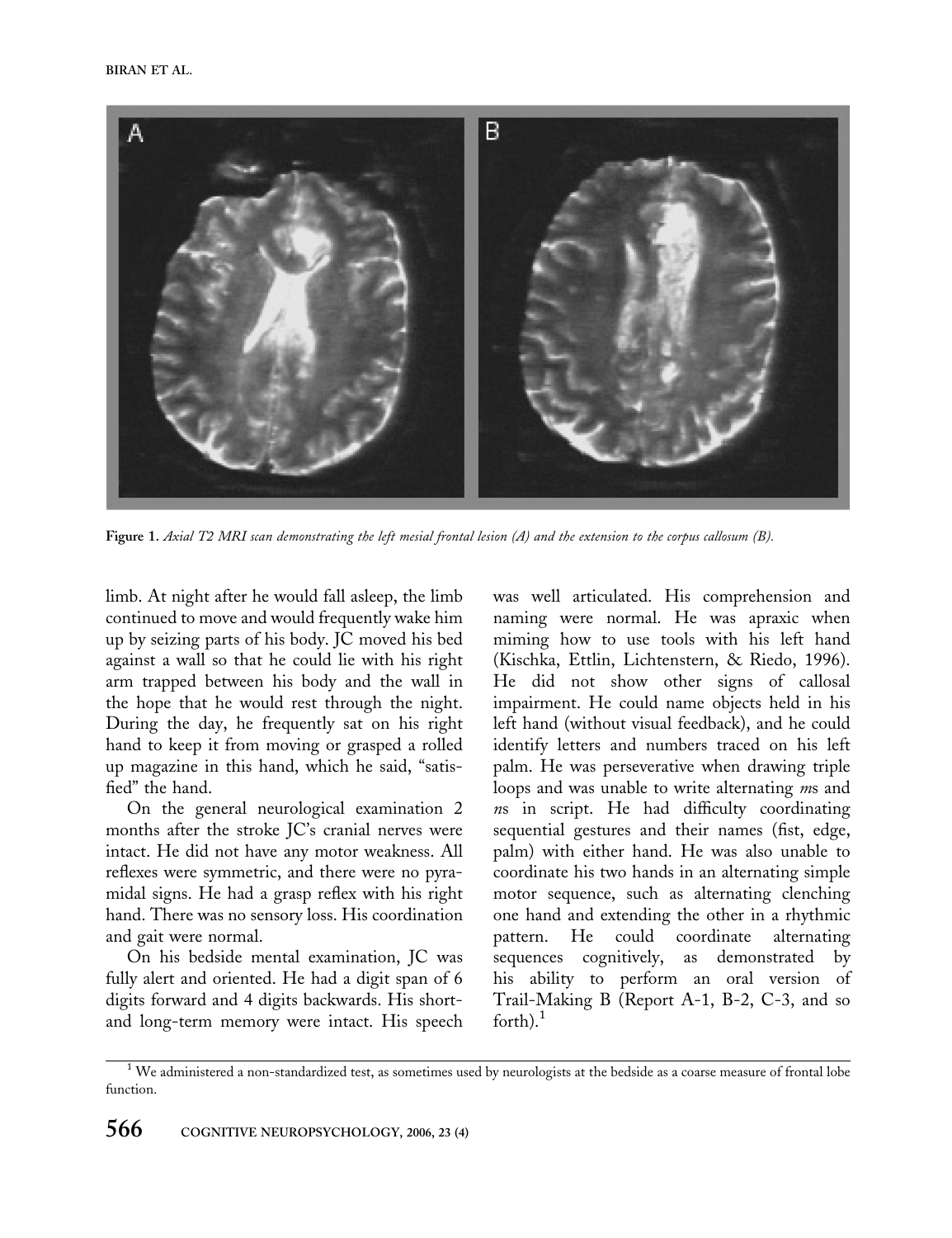

Figure 1. Axial T2 MRI scan demonstrating the left mesial frontal lesion (A) and the extension to the corpus callosum (B).

limb. At night after he would fall asleep, the limb continued to move and would frequently wake him up by seizing parts of his body. JC moved his bed against a wall so that he could lie with his right arm trapped between his body and the wall in the hope that he would rest through the night. During the day, he frequently sat on his right hand to keep it from moving or grasped a rolled up magazine in this hand, which he said, "satisfied" the hand.

On the general neurological examination 2 months after the stroke JC's cranial nerves were intact. He did not have any motor weakness. All reflexes were symmetric, and there were no pyramidal signs. He had a grasp reflex with his right hand. There was no sensory loss. His coordination and gait were normal.

On his bedside mental examination, JC was fully alert and oriented. He had a digit span of 6 digits forward and 4 digits backwards. His shortand long-term memory were intact. His speech was well articulated. His comprehension and naming were normal. He was apraxic when miming how to use tools with his left hand (Kischka, Ettlin, Lichtenstern, & Riedo, 1996). He did not show other signs of callosal impairment. He could name objects held in his left hand (without visual feedback), and he could identify letters and numbers traced on his left palm. He was perseverative when drawing triple loops and was unable to write alternating ms and ns in script. He had difficulty coordinating sequential gestures and their names (fist, edge, palm) with either hand. He was also unable to coordinate his two hands in an alternating simple motor sequence, such as alternating clenching one hand and extending the other in a rhythmic pattern. He could coordinate alternating sequences cognitively, as demonstrated by his ability to perform an oral version of Trail-Making B (Report A-1, B-2, C-3, and so  $forth$ ).<sup>1</sup>

 $1$  We administered a non-standardized test, as sometimes used by neurologists at the bedside as a coarse measure of frontal lobe function.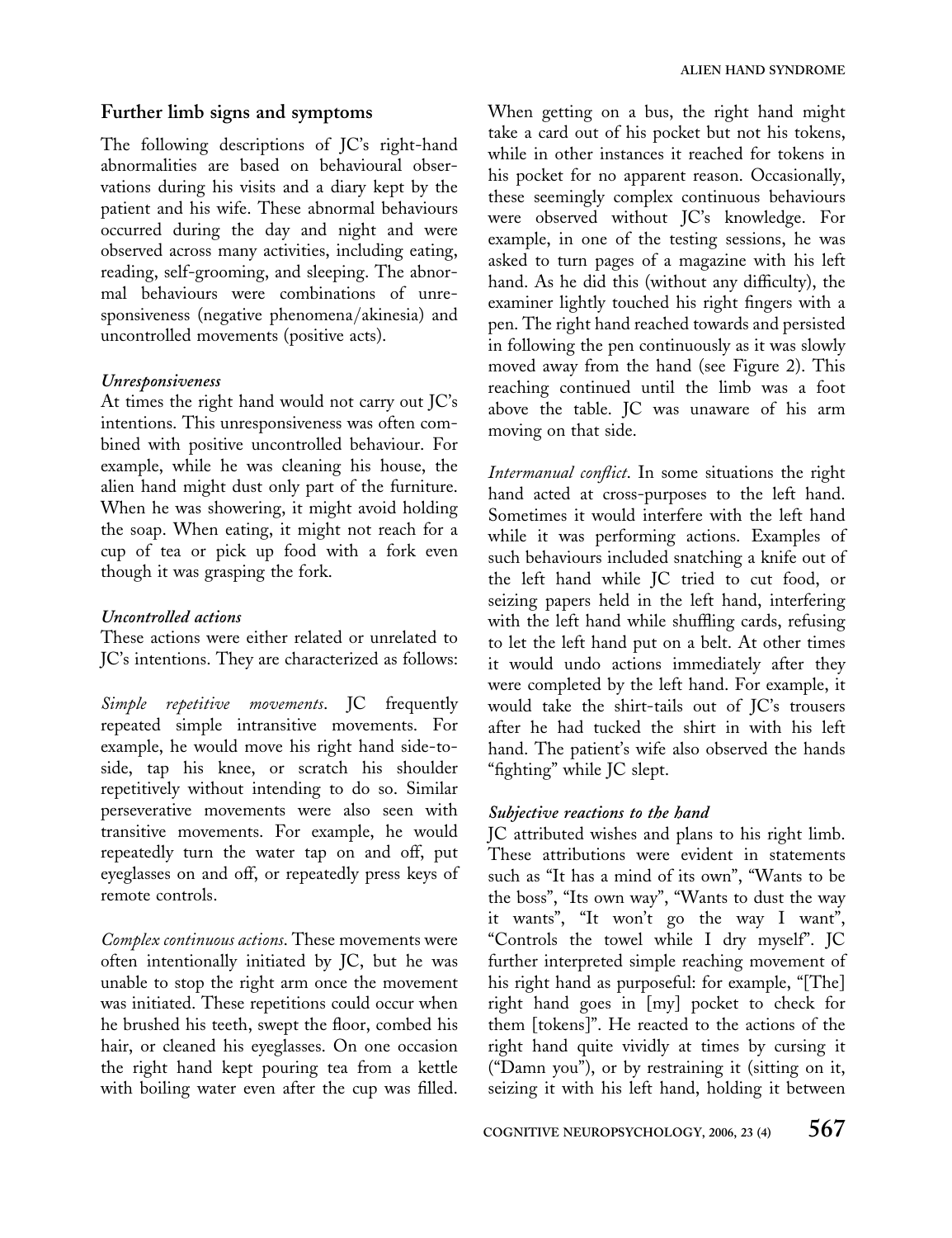The following descriptions of JC's right-hand abnormalities are based on behavioural observations during his visits and a diary kept by the patient and his wife. These abnormal behaviours occurred during the day and night and were observed across many activities, including eating, reading, self-grooming, and sleeping. The abnormal behaviours were combinations of unresponsiveness (negative phenomena/akinesia) and uncontrolled movements (positive acts).

## Unresponsiveness

At times the right hand would not carry out JC's intentions. This unresponsiveness was often combined with positive uncontrolled behaviour. For example, while he was cleaning his house, the alien hand might dust only part of the furniture. When he was showering, it might avoid holding the soap. When eating, it might not reach for a cup of tea or pick up food with a fork even though it was grasping the fork.

## Uncontrolled actions

These actions were either related or unrelated to JC's intentions. They are characterized as follows:

Simple repetitive movements. JC frequently repeated simple intransitive movements. For example, he would move his right hand side-toside, tap his knee, or scratch his shoulder repetitively without intending to do so. Similar perseverative movements were also seen with transitive movements. For example, he would repeatedly turn the water tap on and off, put eyeglasses on and off, or repeatedly press keys of remote controls.

Complex continuous actions. These movements were often intentionally initiated by JC, but he was unable to stop the right arm once the movement was initiated. These repetitions could occur when he brushed his teeth, swept the floor, combed his hair, or cleaned his eyeglasses. On one occasion the right hand kept pouring tea from a kettle with boiling water even after the cup was filled.

When getting on a bus, the right hand might take a card out of his pocket but not his tokens, while in other instances it reached for tokens in his pocket for no apparent reason. Occasionally, these seemingly complex continuous behaviours were observed without JC's knowledge. For example, in one of the testing sessions, he was asked to turn pages of a magazine with his left hand. As he did this (without any difficulty), the examiner lightly touched his right fingers with a pen. The right hand reached towards and persisted in following the pen continuously as it was slowly moved away from the hand (see Figure 2). This reaching continued until the limb was a foot above the table. JC was unaware of his arm moving on that side.

Intermanual conflict. In some situations the right hand acted at cross-purposes to the left hand. Sometimes it would interfere with the left hand while it was performing actions. Examples of such behaviours included snatching a knife out of the left hand while JC tried to cut food, or seizing papers held in the left hand, interfering with the left hand while shuffling cards, refusing to let the left hand put on a belt. At other times it would undo actions immediately after they were completed by the left hand. For example, it would take the shirt-tails out of JC's trousers after he had tucked the shirt in with his left hand. The patient's wife also observed the hands "fighting" while JC slept.

## Subjective reactions to the hand

JC attributed wishes and plans to his right limb. These attributions were evident in statements such as "It has a mind of its own", "Wants to be the boss", "Its own way", "Wants to dust the way it wants", "It won't go the way I want", "Controls the towel while I dry myself". JC further interpreted simple reaching movement of his right hand as purposeful: for example, "[The] right hand goes in [my] pocket to check for them [tokens]". He reacted to the actions of the right hand quite vividly at times by cursing it ("Damn you"), or by restraining it (sitting on it, seizing it with his left hand, holding it between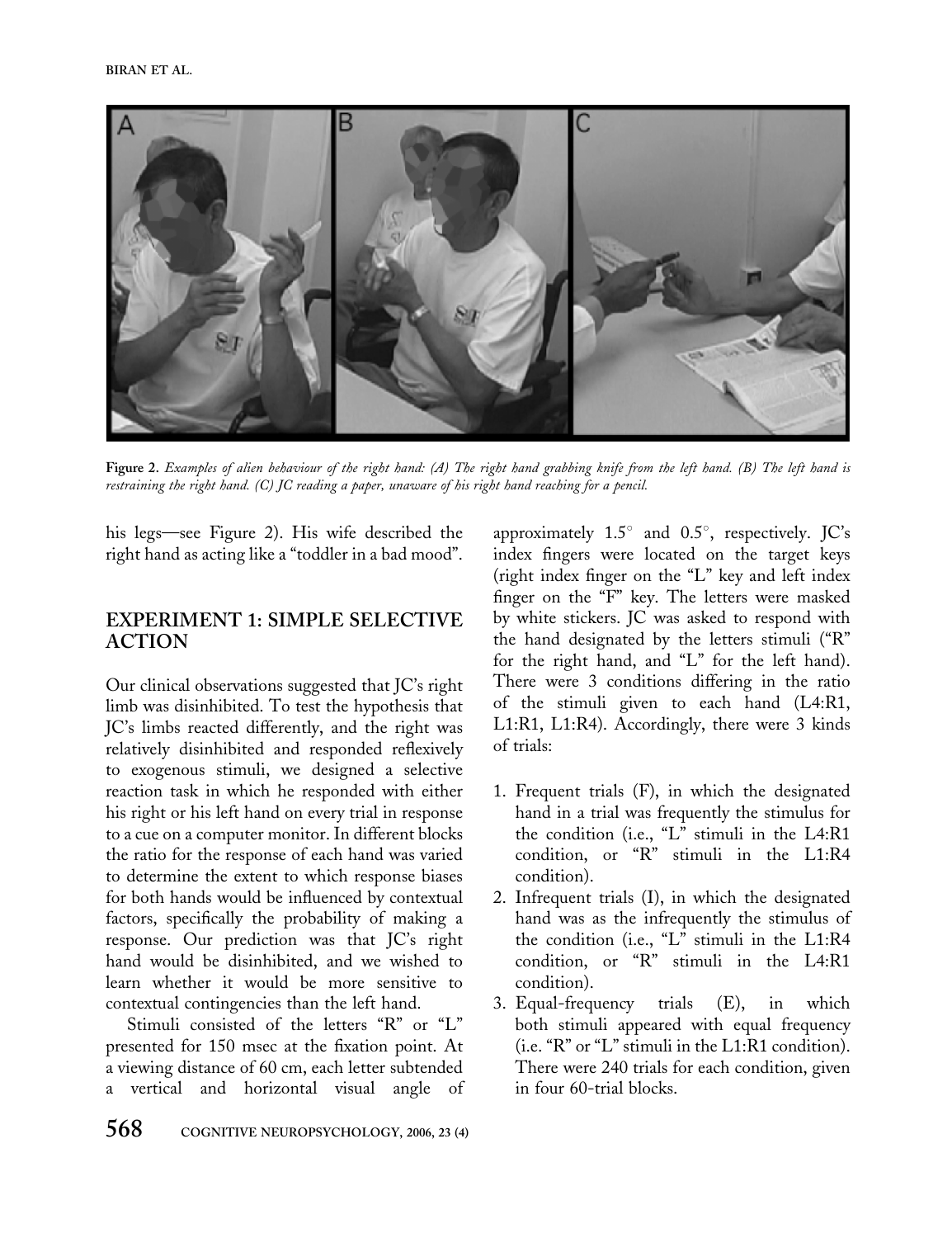

Figure 2. Examples of alien behaviour of the right hand: (A) The right hand grabbing knife from the left hand. (B) The left hand is restraining the right hand. (C) JC reading a paper, unaware of his right hand reaching for a pencil.

his legs—see Figure 2). His wife described the right hand as acting like a "toddler in a bad mood".

# EXPERIMENT 1: SIMPLE SELECTIVE ACTION

Our clinical observations suggested that JC's right limb was disinhibited. To test the hypothesis that JC's limbs reacted differently, and the right was relatively disinhibited and responded reflexively to exogenous stimuli, we designed a selective reaction task in which he responded with either his right or his left hand on every trial in response to a cue on a computer monitor. In different blocks the ratio for the response of each hand was varied to determine the extent to which response biases for both hands would be influenced by contextual factors, specifically the probability of making a response. Our prediction was that JC's right hand would be disinhibited, and we wished to learn whether it would be more sensitive to contextual contingencies than the left hand.

Stimuli consisted of the letters "R" or "L" presented for 150 msec at the fixation point. At a viewing distance of 60 cm, each letter subtended a vertical and horizontal visual angle of

approximately  $1.5^{\circ}$  and  $0.5^{\circ}$ , respectively. JC's index fingers were located on the target keys (right index finger on the "L" key and left index finger on the "F" key. The letters were masked by white stickers. JC was asked to respond with the hand designated by the letters stimuli ("R" for the right hand, and "L" for the left hand). There were 3 conditions differing in the ratio of the stimuli given to each hand (L4:R1, L1:R1, L1:R4). Accordingly, there were 3 kinds of trials:

- 1. Frequent trials (F), in which the designated hand in a trial was frequently the stimulus for the condition (i.e., "L" stimuli in the L4:R1 condition, or "R" stimuli in the L1:R4 condition).
- 2. Infrequent trials (I), in which the designated hand was as the infrequently the stimulus of the condition (i.e., "L" stimuli in the L1:R4 condition, or "R" stimuli in the L4:R1 condition).
- 3. Equal-frequency trials (E), in which both stimuli appeared with equal frequency (i.e. "R" or "L" stimuli in the L1:R1 condition). There were 240 trials for each condition, given in four 60-trial blocks.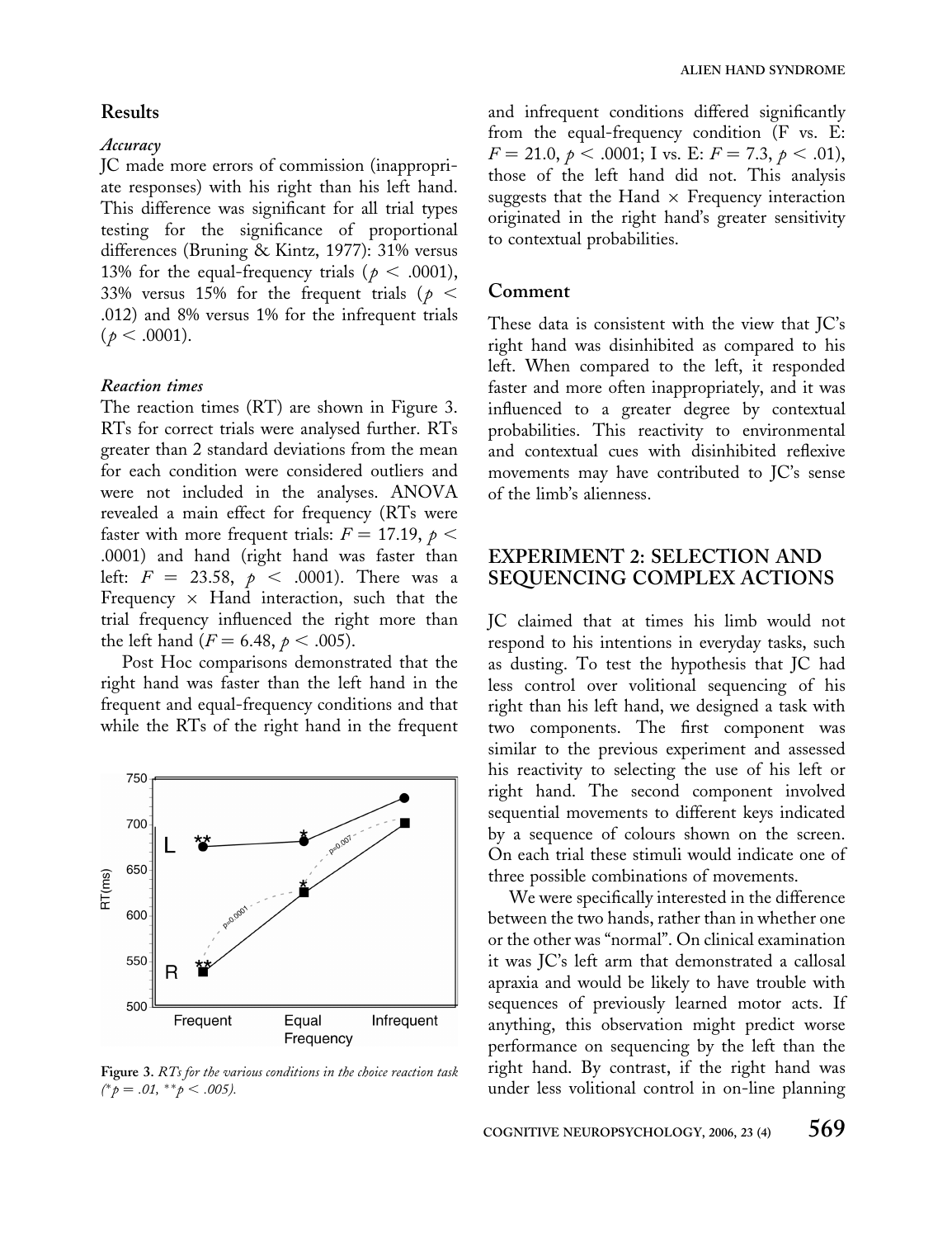## Results

## Accuracy

JC made more errors of commission (inappropriate responses) with his right than his left hand. This difference was significant for all trial types testing for the significance of proportional differences (Bruning & Kintz, 1977): 31% versus 13% for the equal-frequency trials ( $p < .0001$ ), 33% versus 15% for the frequent trials ( $p <$ .012) and 8% versus 1% for the infrequent trials  $(p < .0001)$ .

#### Reaction times

The reaction times (RT) are shown in Figure 3. RTs for correct trials were analysed further. RTs greater than 2 standard deviations from the mean for each condition were considered outliers and were not included in the analyses. ANOVA revealed a main effect for frequency (RTs were faster with more frequent trials:  $F = 17.19$ ,  $p <$ .0001) and hand (right hand was faster than left:  $F = 23.58, p < .0001$ ). There was a Frequency  $\times$  Hand interaction, such that the trial frequency influenced the right more than the left hand ( $F = 6.48, p < .005$ ).

Post Hoc comparisons demonstrated that the right hand was faster than the left hand in the frequent and equal-frequency conditions and that while the RTs of the right hand in the frequent



Figure 3. RTs for the various conditions in the choice reaction task  $({}^{\ast}p=.01,{}^{\ast}{}^{\ast}p-.005).$ 

and infrequent conditions differed significantly from the equal-frequency condition (F vs. E:  $F = 21.0, p < .0001;$  I vs. E:  $F = 7.3, p < .01$ ), those of the left hand did not. This analysis suggests that the Hand  $\times$  Frequency interaction originated in the right hand's greater sensitivity to contextual probabilities.

#### Comment

These data is consistent with the view that JC's right hand was disinhibited as compared to his left. When compared to the left, it responded faster and more often inappropriately, and it was influenced to a greater degree by contextual probabilities. This reactivity to environmental and contextual cues with disinhibited reflexive movements may have contributed to JC's sense of the limb's alienness.

# EXPERIMENT 2: SELECTION AND SEQUENCING COMPLEX ACTIONS

JC claimed that at times his limb would not respond to his intentions in everyday tasks, such as dusting. To test the hypothesis that JC had less control over volitional sequencing of his right than his left hand, we designed a task with two components. The first component was similar to the previous experiment and assessed his reactivity to selecting the use of his left or right hand. The second component involved sequential movements to different keys indicated by a sequence of colours shown on the screen. On each trial these stimuli would indicate one of three possible combinations of movements.

We were specifically interested in the difference between the two hands, rather than in whether one or the other was "normal". On clinical examination it was JC's left arm that demonstrated a callosal apraxia and would be likely to have trouble with sequences of previously learned motor acts. If anything, this observation might predict worse performance on sequencing by the left than the right hand. By contrast, if the right hand was under less volitional control in on-line planning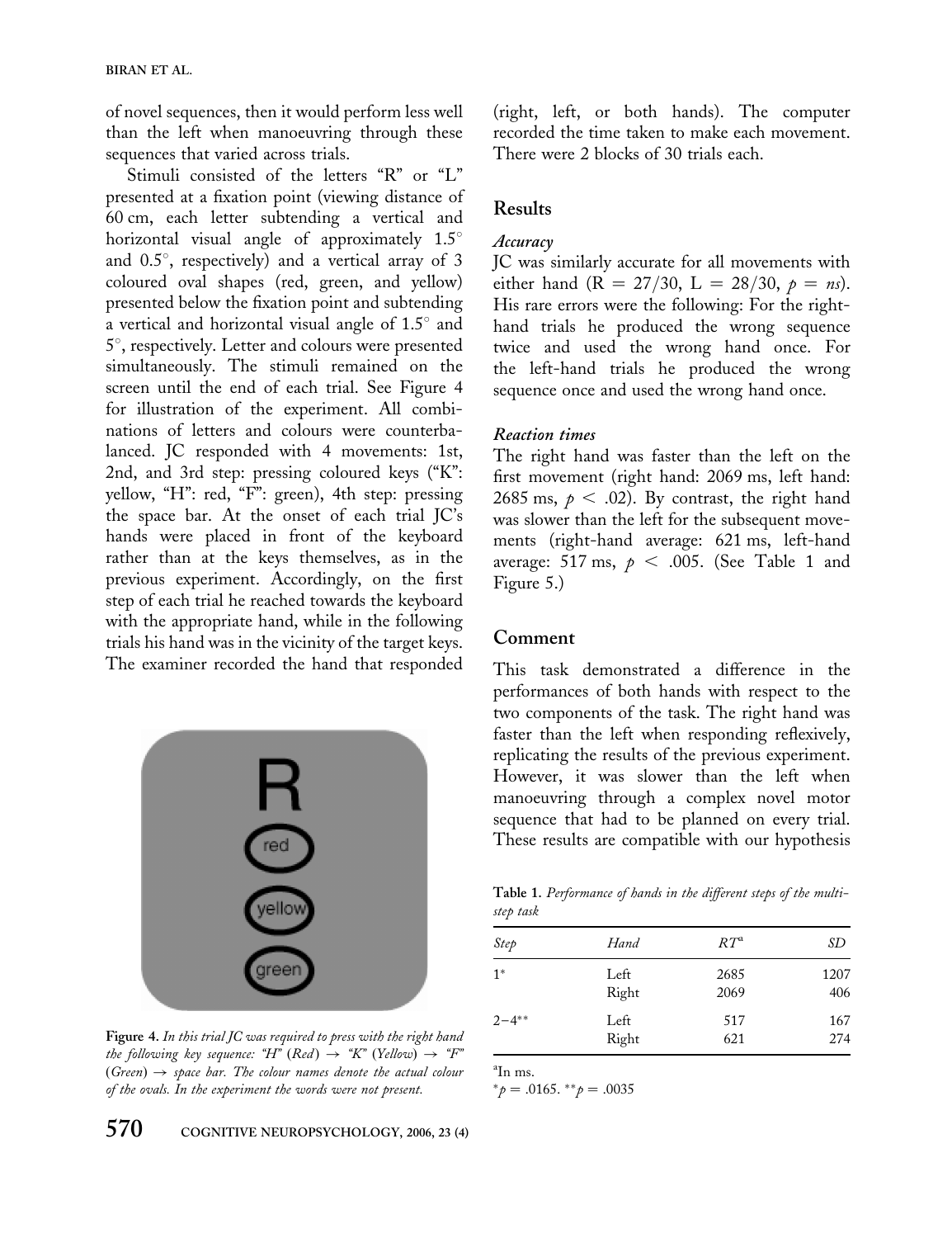of novel sequences, then it would perform less well than the left when manoeuvring through these sequences that varied across trials.

Stimuli consisted of the letters "R" or "L" presented at a fixation point (viewing distance of 60 cm, each letter subtending a vertical and horizontal visual angle of approximately  $1.5^{\circ}$ and  $0.5^{\circ}$ , respectively) and a vertical array of 3 coloured oval shapes (red, green, and yellow) presented below the fixation point and subtending a vertical and horizontal visual angle of  $1.5^{\circ}$  and 5°, respectively. Letter and colours were presented simultaneously. The stimuli remained on the screen until the end of each trial. See Figure 4 for illustration of the experiment. All combinations of letters and colours were counterbalanced. JC responded with 4 movements: 1st, 2nd, and 3rd step: pressing coloured keys ("K": yellow, "H": red, "F": green), 4th step: pressing the space bar. At the onset of each trial JC's hands were placed in front of the keyboard rather than at the keys themselves, as in the previous experiment. Accordingly, on the first step of each trial he reached towards the keyboard with the appropriate hand, while in the following trials his hand was in the vicinity of the target keys. The examiner recorded the hand that responded



Figure 4. In this trial JC was required to press with the right hand the following key sequence: "H"  $(Red) \rightarrow "K"$   $(Yellow) \rightarrow "F"$  $(Green) \rightarrow space bar$ . The colour names denote the actual colour of the ovals. In the experiment the words were not present.

(right, left, or both hands). The computer recorded the time taken to make each movement. There were 2 blocks of 30 trials each.

## Results

### Accuracy

JC was similarly accurate for all movements with either hand  $(R = 27/30, L = 28/30, p = ns)$ . His rare errors were the following: For the righthand trials he produced the wrong sequence twice and used the wrong hand once. For the left-hand trials he produced the wrong sequence once and used the wrong hand once.

## Reaction times

The right hand was faster than the left on the first movement (right hand: 2069 ms, left hand: 2685 ms,  $p < .02$ ). By contrast, the right hand was slower than the left for the subsequent movements (right-hand average: 621 ms, left-hand average: 517 ms,  $p \le 0.005$ . (See Table 1 and Figure 5.)

## Comment

This task demonstrated a difference in the performances of both hands with respect to the two components of the task. The right hand was faster than the left when responding reflexively, replicating the results of the previous experiment. However, it was slower than the left when manoeuvring through a complex novel motor sequence that had to be planned on every trial. These results are compatible with our hypothesis

|           | Table 1. Performance of hands in the different steps of the multi- |  |  |  |  |
|-----------|--------------------------------------------------------------------|--|--|--|--|
| step task |                                                                    |  |  |  |  |

| Step         | Hand  | $RT^a$ | SD   |  |  |
|--------------|-------|--------|------|--|--|
| $1*$         | Left  | 2685   | 1207 |  |  |
|              | Right | 2069   | 406  |  |  |
| $2 - 4^{**}$ | Left  | 517    | 167  |  |  |
|              | Right | 621    | 274  |  |  |

a In ms.

 $*_{p} = .0165. *_{p} = .0035$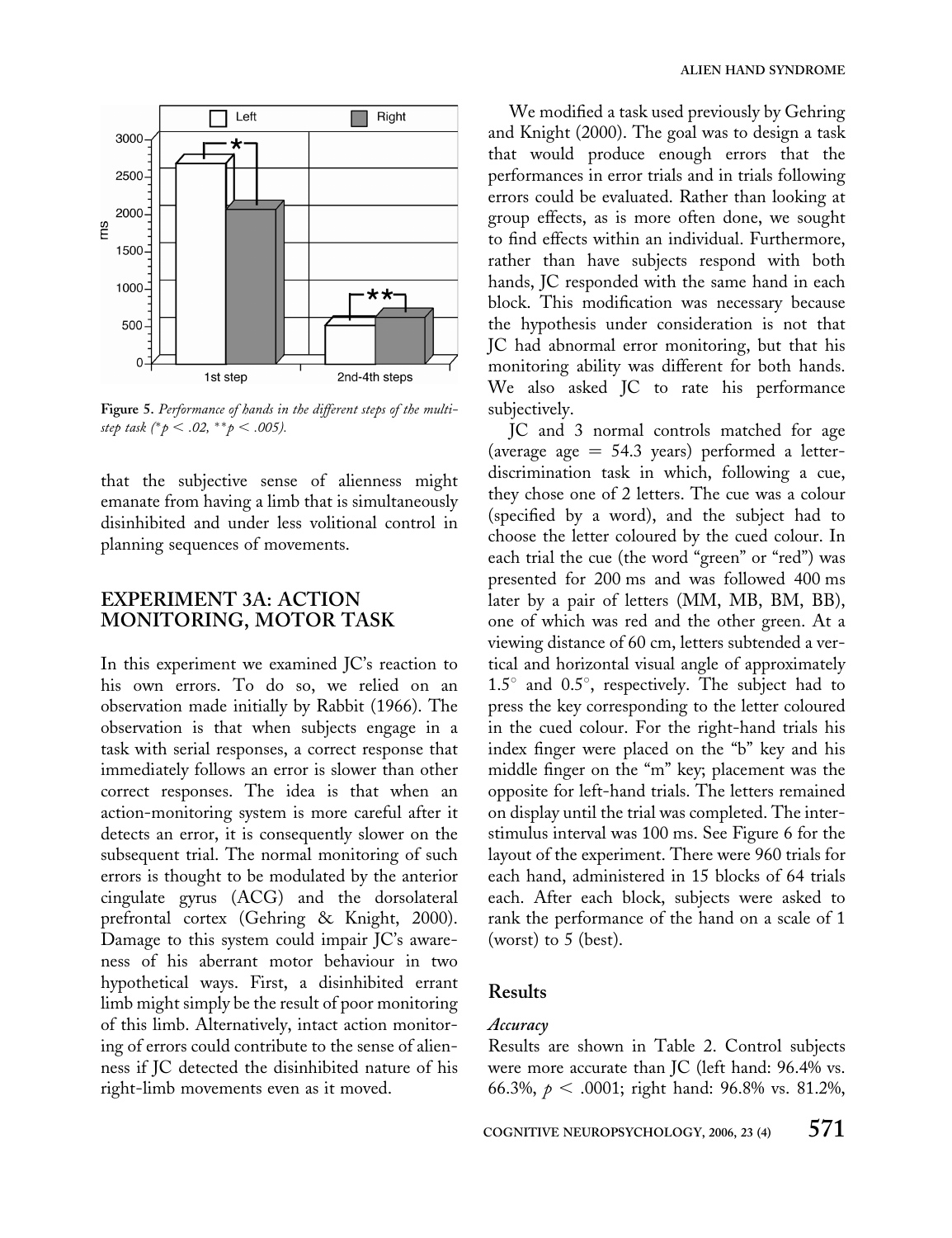

Figure 5. Performance of hands in the different steps of the multistep task (\* p < .02, \* \* p < .005).

that the subjective sense of alienness might emanate from having a limb that is simultaneously disinhibited and under less volitional control in planning sequences of movements.

# EXPERIMENT 3A: ACTION MONITORING, MOTOR TASK

In this experiment we examined JC's reaction to his own errors. To do so, we relied on an observation made initially by Rabbit (1966). The observation is that when subjects engage in a task with serial responses, a correct response that immediately follows an error is slower than other correct responses. The idea is that when an action-monitoring system is more careful after it detects an error, it is consequently slower on the subsequent trial. The normal monitoring of such errors is thought to be modulated by the anterior cingulate gyrus (ACG) and the dorsolateral prefrontal cortex (Gehring & Knight, 2000). Damage to this system could impair JC's awareness of his aberrant motor behaviour in two hypothetical ways. First, a disinhibited errant limb might simply be the result of poor monitoring of this limb. Alternatively, intact action monitoring of errors could contribute to the sense of alienness if JC detected the disinhibited nature of his right-limb movements even as it moved.

We modified a task used previously by Gehring and Knight (2000). The goal was to design a task that would produce enough errors that the performances in error trials and in trials following errors could be evaluated. Rather than looking at group effects, as is more often done, we sought to find effects within an individual. Furthermore, rather than have subjects respond with both hands, JC responded with the same hand in each block. This modification was necessary because the hypothesis under consideration is not that JC had abnormal error monitoring, but that his monitoring ability was different for both hands. We also asked JC to rate his performance subjectively.

JC and 3 normal controls matched for age (average age  $= 54.3$  years) performed a letterdiscrimination task in which, following a cue, they chose one of 2 letters. The cue was a colour (specified by a word), and the subject had to choose the letter coloured by the cued colour. In each trial the cue (the word "green" or "red") was presented for 200 ms and was followed 400 ms later by a pair of letters (MM, MB, BM, BB), one of which was red and the other green. At a viewing distance of 60 cm, letters subtended a vertical and horizontal visual angle of approximately  $1.5^{\circ}$  and  $0.5^{\circ}$ , respectively. The subject had to press the key corresponding to the letter coloured in the cued colour. For the right-hand trials his index finger were placed on the "b" key and his middle finger on the "m" key; placement was the opposite for left-hand trials. The letters remained on display until the trial was completed. The interstimulus interval was 100 ms. See Figure 6 for the layout of the experiment. There were 960 trials for each hand, administered in 15 blocks of 64 trials each. After each block, subjects were asked to rank the performance of the hand on a scale of 1 (worst) to 5 (best).

#### Results

### Accuracy

Results are shown in Table 2. Control subjects were more accurate than JC (left hand: 96.4% vs. 66.3%,  $p < .0001$ ; right hand: 96.8% vs. 81.2%,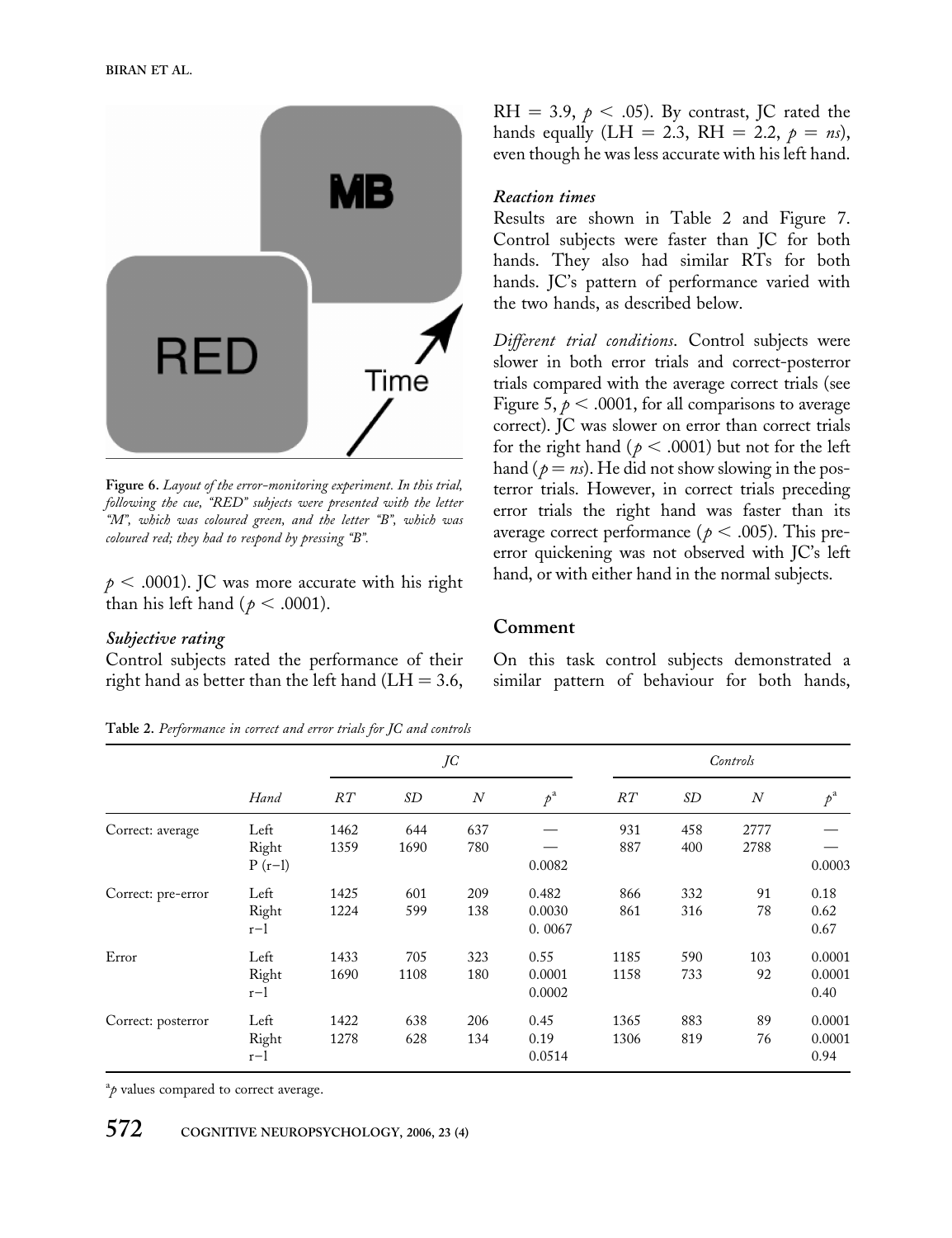

Figure 6. Layout of the error-monitoring experiment. In this trial, following the cue, "RED" subjects were presented with the letter "M", which was coloured green, and the letter "B", which was coloured red; they had to respond by pressing "B".

 $p < .0001$ ). JC was more accurate with his right than his left hand ( $p < .0001$ ).

#### Subjective rating

Control subjects rated the performance of their right hand as better than the left hand ( $LH = 3.6$ ,

RH = 3.9,  $p < .05$ ). By contrast, JC rated the hands equally (LH = 2.3, RH = 2.2,  $p = ns$ ), even though he was less accurate with his left hand.

#### Reaction times

Results are shown in Table 2 and Figure 7. Control subjects were faster than JC for both hands. They also had similar RTs for both hands. JC's pattern of performance varied with the two hands, as described below.

Different trial conditions. Control subjects were slower in both error trials and correct-posterror trials compared with the average correct trials (see Figure 5,  $p < .0001$ , for all comparisons to average correct). JC was slower on error than correct trials for the right hand ( $p < .0001$ ) but not for the left hand ( $p = ns$ ). He did not show slowing in the posterror trials. However, in correct trials preceding error trials the right hand was faster than its average correct performance ( $p < .005$ ). This preerror quickening was not observed with JC's left hand, or with either hand in the normal subjects.

### Comment

On this task control subjects demonstrated a similar pattern of behaviour for both hands,

Table 2. Performance in correct and error trials for JC and controls

|                    | Hand     |      |      | $\overline{JC}$  |                               | Controls |     |                  |                               |  |
|--------------------|----------|------|------|------------------|-------------------------------|----------|-----|------------------|-------------------------------|--|
|                    |          | RT   | SD   | $\boldsymbol{N}$ | $\boldsymbol{p}^{\mathrm{a}}$ | RT       | SD  | $\boldsymbol{N}$ | $\boldsymbol{p}^{\mathrm{a}}$ |  |
| Correct: average   | Left     | 1462 | 644  | 637              |                               | 931      | 458 | 2777             |                               |  |
|                    | Right    | 1359 | 1690 | 780              |                               | 887      | 400 | 2788             |                               |  |
|                    | $P(r-1)$ |      |      |                  | 0.0082                        |          |     |                  | 0.0003                        |  |
| Correct: pre-error | Left     | 1425 | 601  | 209              | 0.482                         | 866      | 332 | 91               | 0.18                          |  |
|                    | Right    | 1224 | 599  | 138              | 0.0030                        | 861      | 316 | 78               | 0.62                          |  |
|                    | $r-1$    |      |      |                  | 0.0067                        |          |     |                  | 0.67                          |  |
| Error              | Left     | 1433 | 705  | 323              | 0.55                          | 1185     | 590 | 103              | 0.0001                        |  |
|                    | Right    | 1690 | 1108 | 180              | 0.0001                        | 1158     | 733 | 92               | 0.0001                        |  |
|                    | $r-1$    |      |      |                  | 0.0002                        |          |     |                  | 0.40                          |  |
| Correct: posterror | Left     | 1422 | 638  | 206              | 0.45                          | 1365     | 883 | 89               | 0.0001                        |  |
|                    | Right    | 1278 | 628  | 134              | 0.19                          | 1306     | 819 | 76               | 0.0001                        |  |
|                    | $r-1$    |      |      |                  | 0.0514                        |          |     |                  | 0.94                          |  |

 ${}^{a}$ p values compared to correct average.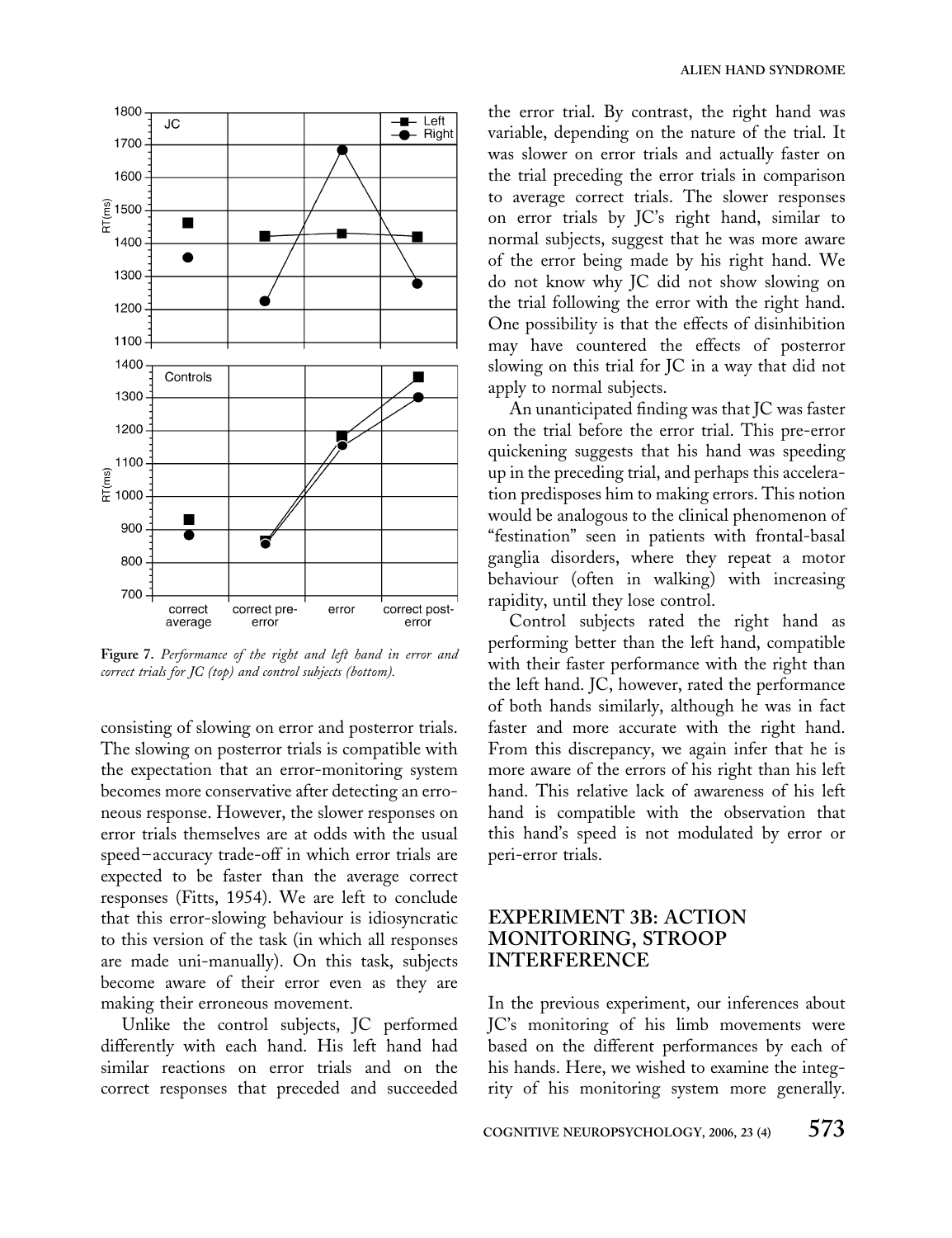



Figure 7. Performance of the right and left hand in error and correct trials for JC (top) and control subjects (bottom).

consisting of slowing on error and posterror trials. The slowing on posterror trials is compatible with the expectation that an error-monitoring system becomes more conservative after detecting an erroneous response. However, the slower responses on error trials themselves are at odds with the usual speed–accuracy trade-off in which error trials are expected to be faster than the average correct responses (Fitts, 1954). We are left to conclude that this error-slowing behaviour is idiosyncratic to this version of the task (in which all responses are made uni-manually). On this task, subjects become aware of their error even as they are making their erroneous movement.

Unlike the control subjects, JC performed differently with each hand. His left hand had similar reactions on error trials and on the correct responses that preceded and succeeded

the error trial. By contrast, the right hand was variable, depending on the nature of the trial. It was slower on error trials and actually faster on the trial preceding the error trials in comparison to average correct trials. The slower responses on error trials by JC's right hand, similar to normal subjects, suggest that he was more aware of the error being made by his right hand. We do not know why JC did not show slowing on the trial following the error with the right hand. One possibility is that the effects of disinhibition may have countered the effects of posterror slowing on this trial for JC in a way that did not apply to normal subjects.

An unanticipated finding was that JC was faster on the trial before the error trial. This pre-error quickening suggests that his hand was speeding up in the preceding trial, and perhaps this acceleration predisposes him to making errors. This notion would be analogous to the clinical phenomenon of "festination" seen in patients with frontal-basal ganglia disorders, where they repeat a motor behaviour (often in walking) with increasing rapidity, until they lose control.

Control subjects rated the right hand as performing better than the left hand, compatible with their faster performance with the right than the left hand. JC, however, rated the performance of both hands similarly, although he was in fact faster and more accurate with the right hand. From this discrepancy, we again infer that he is more aware of the errors of his right than his left hand. This relative lack of awareness of his left hand is compatible with the observation that this hand's speed is not modulated by error or peri-error trials.

# EXPERIMENT 3B: ACTION MONITORING, STROOP INTERFERENCE

In the previous experiment, our inferences about JC's monitoring of his limb movements were based on the different performances by each of his hands. Here, we wished to examine the integrity of his monitoring system more generally.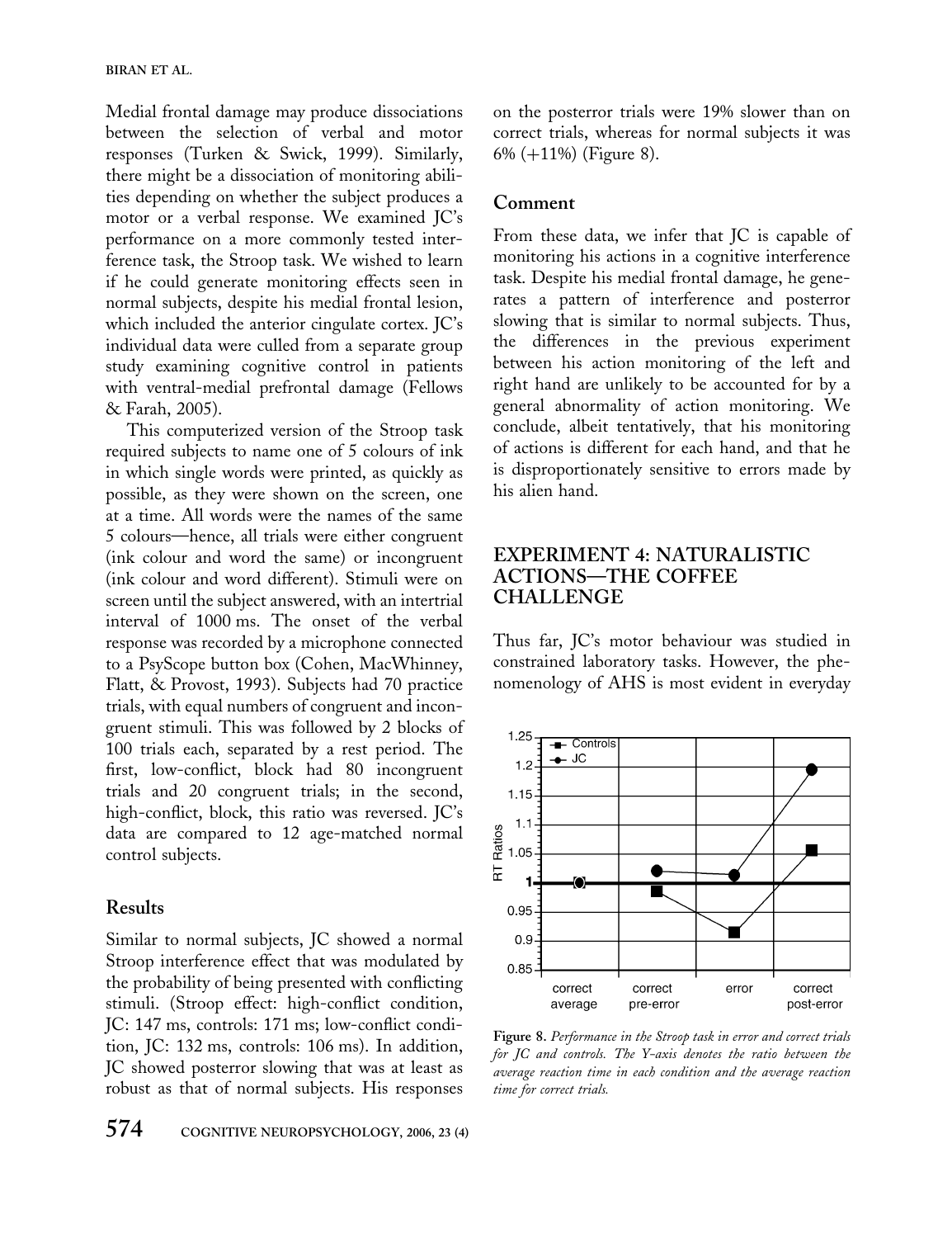Medial frontal damage may produce dissociations between the selection of verbal and motor responses (Turken & Swick, 1999). Similarly, there might be a dissociation of monitoring abilities depending on whether the subject produces a motor or a verbal response. We examined JC's performance on a more commonly tested interference task, the Stroop task. We wished to learn if he could generate monitoring effects seen in normal subjects, despite his medial frontal lesion, which included the anterior cingulate cortex. JC's individual data were culled from a separate group study examining cognitive control in patients with ventral-medial prefrontal damage (Fellows & Farah, 2005).

This computerized version of the Stroop task required subjects to name one of 5 colours of ink in which single words were printed, as quickly as possible, as they were shown on the screen, one at a time. All words were the names of the same 5 colours—hence, all trials were either congruent (ink colour and word the same) or incongruent (ink colour and word different). Stimuli were on screen until the subject answered, with an intertrial interval of 1000 ms. The onset of the verbal response was recorded by a microphone connected to a PsyScope button box (Cohen, MacWhinney, Flatt, & Provost, 1993). Subjects had 70 practice trials, with equal numbers of congruent and incongruent stimuli. This was followed by 2 blocks of 100 trials each, separated by a rest period. The first, low-conflict, block had 80 incongruent trials and 20 congruent trials; in the second, high-conflict, block, this ratio was reversed. JC's data are compared to 12 age-matched normal control subjects.

## Results

Similar to normal subjects, JC showed a normal Stroop interference effect that was modulated by the probability of being presented with conflicting stimuli. (Stroop effect: high-conflict condition, JC: 147 ms, controls: 171 ms; low-conflict condition, JC: 132 ms, controls: 106 ms). In addition, JC showed posterror slowing that was at least as robust as that of normal subjects. His responses

on the posterror trials were 19% slower than on correct trials, whereas for normal subjects it was 6%  $(+11)$ %) (Figure 8).

## Comment

From these data, we infer that JC is capable of monitoring his actions in a cognitive interference task. Despite his medial frontal damage, he generates a pattern of interference and posterror slowing that is similar to normal subjects. Thus, the differences in the previous experiment between his action monitoring of the left and right hand are unlikely to be accounted for by a general abnormality of action monitoring. We conclude, albeit tentatively, that his monitoring of actions is different for each hand, and that he is disproportionately sensitive to errors made by his alien hand.

# EXPERIMENT 4: NATURALISTIC ACTIONS—THE COFFEE CHALLENGE

Thus far, JC's motor behaviour was studied in constrained laboratory tasks. However, the phenomenology of AHS is most evident in everyday



Figure 8. Performance in the Stroop task in error and correct trials for JC and controls. The Y-axis denotes the ratio between the average reaction time in each condition and the average reaction time for correct trials.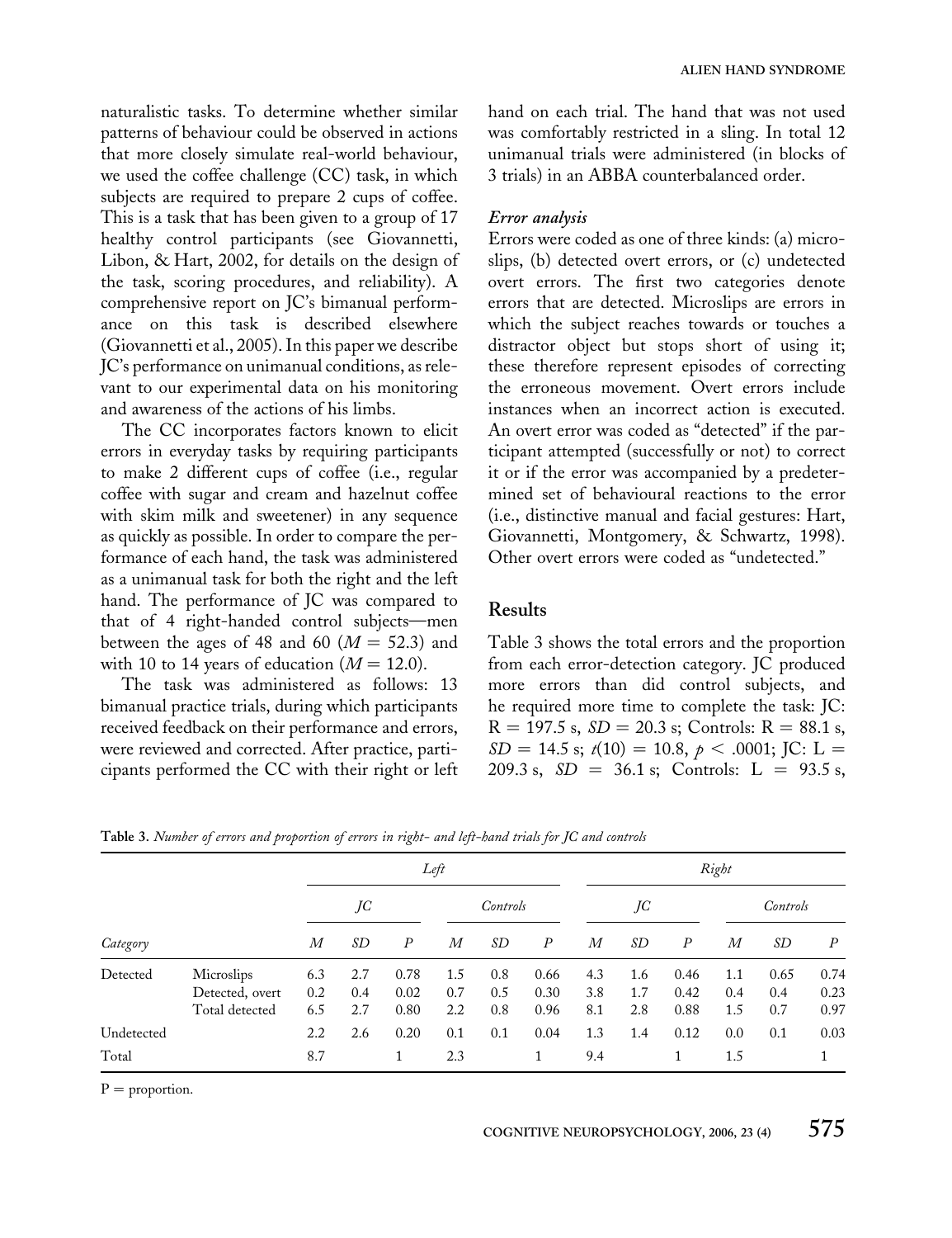naturalistic tasks. To determine whether similar patterns of behaviour could be observed in actions that more closely simulate real-world behaviour, we used the coffee challenge (CC) task, in which subjects are required to prepare 2 cups of coffee. This is a task that has been given to a group of 17 healthy control participants (see Giovannetti, Libon, & Hart, 2002, for details on the design of the task, scoring procedures, and reliability). A comprehensive report on JC's bimanual performance on this task is described elsewhere (Giovannetti et al., 2005). In this paper we describe JC's performance on unimanual conditions, as relevant to our experimental data on his monitoring and awareness of the actions of his limbs.

The CC incorporates factors known to elicit errors in everyday tasks by requiring participants to make 2 different cups of coffee (i.e., regular coffee with sugar and cream and hazelnut coffee with skim milk and sweetener) in any sequence as quickly as possible. In order to compare the performance of each hand, the task was administered as a unimanual task for both the right and the left hand. The performance of JC was compared to that of 4 right-handed control subjects—men between the ages of 48 and 60 ( $M = 52.3$ ) and with 10 to 14 years of education ( $M = 12.0$ ).

The task was administered as follows: 13 bimanual practice trials, during which participants received feedback on their performance and errors, were reviewed and corrected. After practice, participants performed the CC with their right or left hand on each trial. The hand that was not used was comfortably restricted in a sling. In total 12 unimanual trials were administered (in blocks of 3 trials) in an ABBA counterbalanced order.

#### Error analysis

Errors were coded as one of three kinds: (a) microslips, (b) detected overt errors, or (c) undetected overt errors. The first two categories denote errors that are detected. Microslips are errors in which the subject reaches towards or touches a distractor object but stops short of using it; these therefore represent episodes of correcting the erroneous movement. Overt errors include instances when an incorrect action is executed. An overt error was coded as "detected" if the participant attempted (successfully or not) to correct it or if the error was accompanied by a predetermined set of behavioural reactions to the error (i.e., distinctive manual and facial gestures: Hart, Giovannetti, Montgomery, & Schwartz, 1998). Other overt errors were coded as "undetected."

#### Results

Table 3 shows the total errors and the proportion from each error-detection category. JC produced more errors than did control subjects, and he required more time to complete the task: JC:  $R = 197.5$  s,  $SD = 20.3$  s; Controls:  $R = 88.1$  s,  $SD = 14.5$  s;  $t(10) = 10.8, p < .0001$ ; JC: L = 209.3 s,  $SD = 36.1$  s; Controls:  $L = 93.5$  s,

|                     |                                                 |                   |                   |                      | Left              |                   |                      |                   | Right             |                      |                   |                    |                      |  |
|---------------------|-------------------------------------------------|-------------------|-------------------|----------------------|-------------------|-------------------|----------------------|-------------------|-------------------|----------------------|-------------------|--------------------|----------------------|--|
| Category            |                                                 |                   | JС                |                      | Controls          |                   |                      | JC                |                   |                      | Controls          |                    |                      |  |
|                     |                                                 | $\boldsymbol{M}$  | SD                | $\boldsymbol{P}$     | $\boldsymbol{M}$  | SD                | $\boldsymbol{P}$     | $\boldsymbol{M}$  | SD                | $\boldsymbol{P}$     | $\boldsymbol{M}$  | SD                 | P                    |  |
| Detected            | Microslips<br>Detected, overt<br>Total detected | 6.3<br>0.2<br>6.5 | 2.7<br>0.4<br>2.7 | 0.78<br>0.02<br>0.80 | 1.5<br>0.7<br>2.2 | 0.8<br>0.5<br>0.8 | 0.66<br>0.30<br>0.96 | 4.3<br>3.8<br>8.1 | 1.6<br>1.7<br>2.8 | 0.46<br>0.42<br>0.88 | 1.1<br>0.4<br>1.5 | 0.65<br>0.4<br>0.7 | 0.74<br>0.23<br>0.97 |  |
| Undetected<br>Total |                                                 | 2.2<br>8.7        | 2.6               | 0.20                 | 0.1<br>2.3        | 0.1               | 0.04                 | 1.3<br>9.4        | 1.4               | 0.12                 | 0.0<br>1.5        | 0.1                | 0.03<br>1            |  |

Table 3. Number of errors and proportion of errors in right- and left-hand trials for JC and controls

 $P =$  proportion.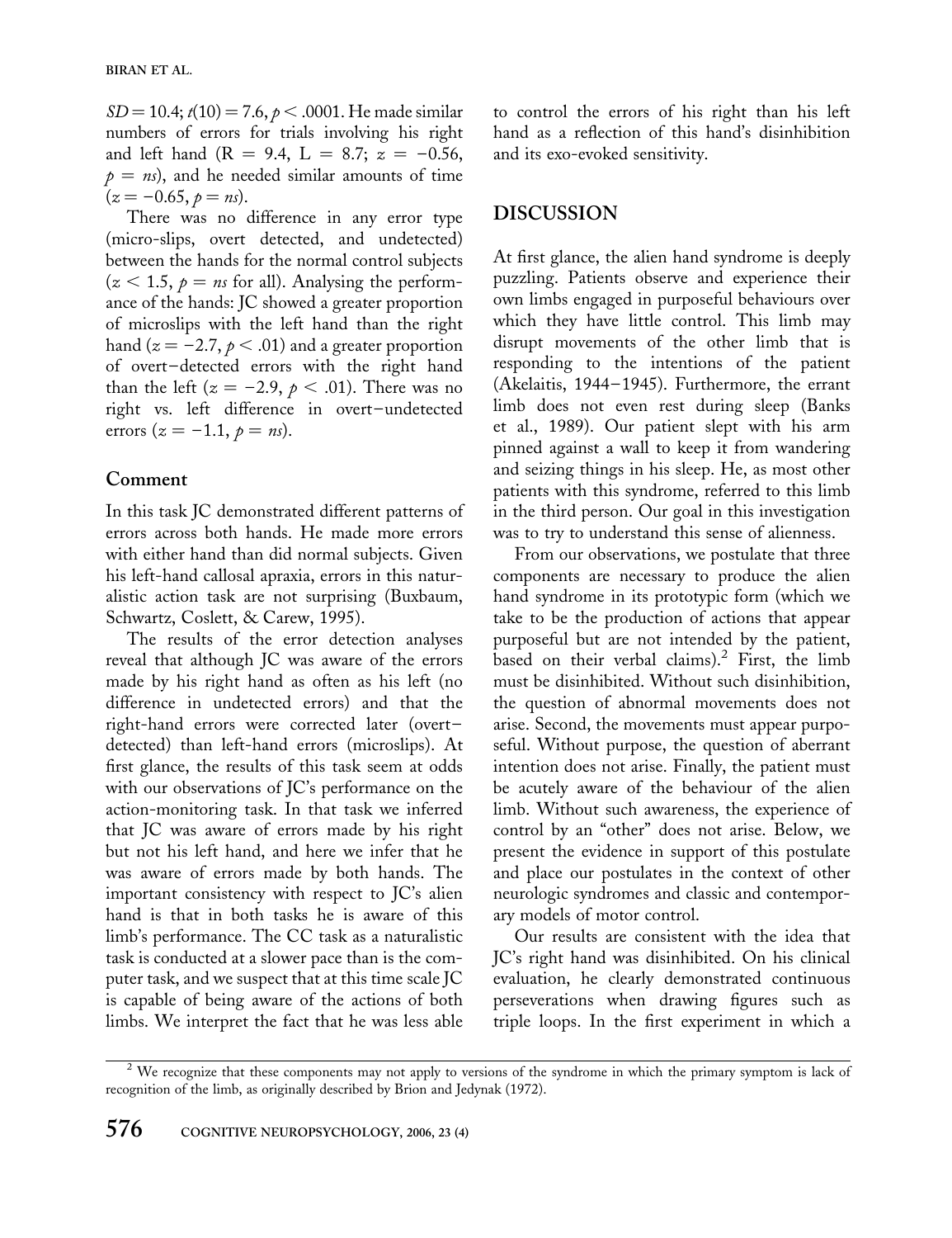$SD = 10.4$ ;  $t(10) = 7.6$ ,  $p < .0001$ . He made similar numbers of errors for trials involving his right and left hand (R = 9.4, L = 8.7;  $z = -0.56$ ,  $p = ns$ , and he needed similar amounts of time  $(z = -0.65, p = ns).$ 

There was no difference in any error type (micro-slips, overt detected, and undetected) between the hands for the normal control subjects  $(z < 1.5, \rho = ns$  for all). Analysing the performance of the hands: JC showed a greater proportion of microslips with the left hand than the right hand ( $z = -2.7$ ,  $p < .01$ ) and a greater proportion of overt–detected errors with the right hand than the left ( $z = -2.9$ ,  $p < .01$ ). There was no right vs. left difference in overt–undetected errors ( $z = -1.1$ ,  $p = ns$ ).

# Comment

In this task JC demonstrated different patterns of errors across both hands. He made more errors with either hand than did normal subjects. Given his left-hand callosal apraxia, errors in this naturalistic action task are not surprising (Buxbaum, Schwartz, Coslett, & Carew, 1995).

The results of the error detection analyses reveal that although JC was aware of the errors made by his right hand as often as his left (no difference in undetected errors) and that the right-hand errors were corrected later (overt– detected) than left-hand errors (microslips). At first glance, the results of this task seem at odds with our observations of JC's performance on the action-monitoring task. In that task we inferred that JC was aware of errors made by his right but not his left hand, and here we infer that he was aware of errors made by both hands. The important consistency with respect to JC's alien hand is that in both tasks he is aware of this limb's performance. The CC task as a naturalistic task is conducted at a slower pace than is the computer task, and we suspect that at this time scale JC is capable of being aware of the actions of both limbs. We interpret the fact that he was less able

to control the errors of his right than his left hand as a reflection of this hand's disinhibition and its exo-evoked sensitivity.

# DISCUSSION

At first glance, the alien hand syndrome is deeply puzzling. Patients observe and experience their own limbs engaged in purposeful behaviours over which they have little control. This limb may disrupt movements of the other limb that is responding to the intentions of the patient (Akelaitis, 1944–1945). Furthermore, the errant limb does not even rest during sleep (Banks et al., 1989). Our patient slept with his arm pinned against a wall to keep it from wandering and seizing things in his sleep. He, as most other patients with this syndrome, referred to this limb in the third person. Our goal in this investigation was to try to understand this sense of alienness.

From our observations, we postulate that three components are necessary to produce the alien hand syndrome in its prototypic form (which we take to be the production of actions that appear purposeful but are not intended by the patient, based on their verbal claims).2 First, the limb must be disinhibited. Without such disinhibition, the question of abnormal movements does not arise. Second, the movements must appear purposeful. Without purpose, the question of aberrant intention does not arise. Finally, the patient must be acutely aware of the behaviour of the alien limb. Without such awareness, the experience of control by an "other" does not arise. Below, we present the evidence in support of this postulate and place our postulates in the context of other neurologic syndromes and classic and contemporary models of motor control.

Our results are consistent with the idea that JC's right hand was disinhibited. On his clinical evaluation, he clearly demonstrated continuous perseverations when drawing figures such as triple loops. In the first experiment in which a

<sup>&</sup>lt;sup>2</sup> We recognize that these components may not apply to versions of the syndrome in which the primary symptom is lack of recognition of the limb, as originally described by Brion and Jedynak (1972).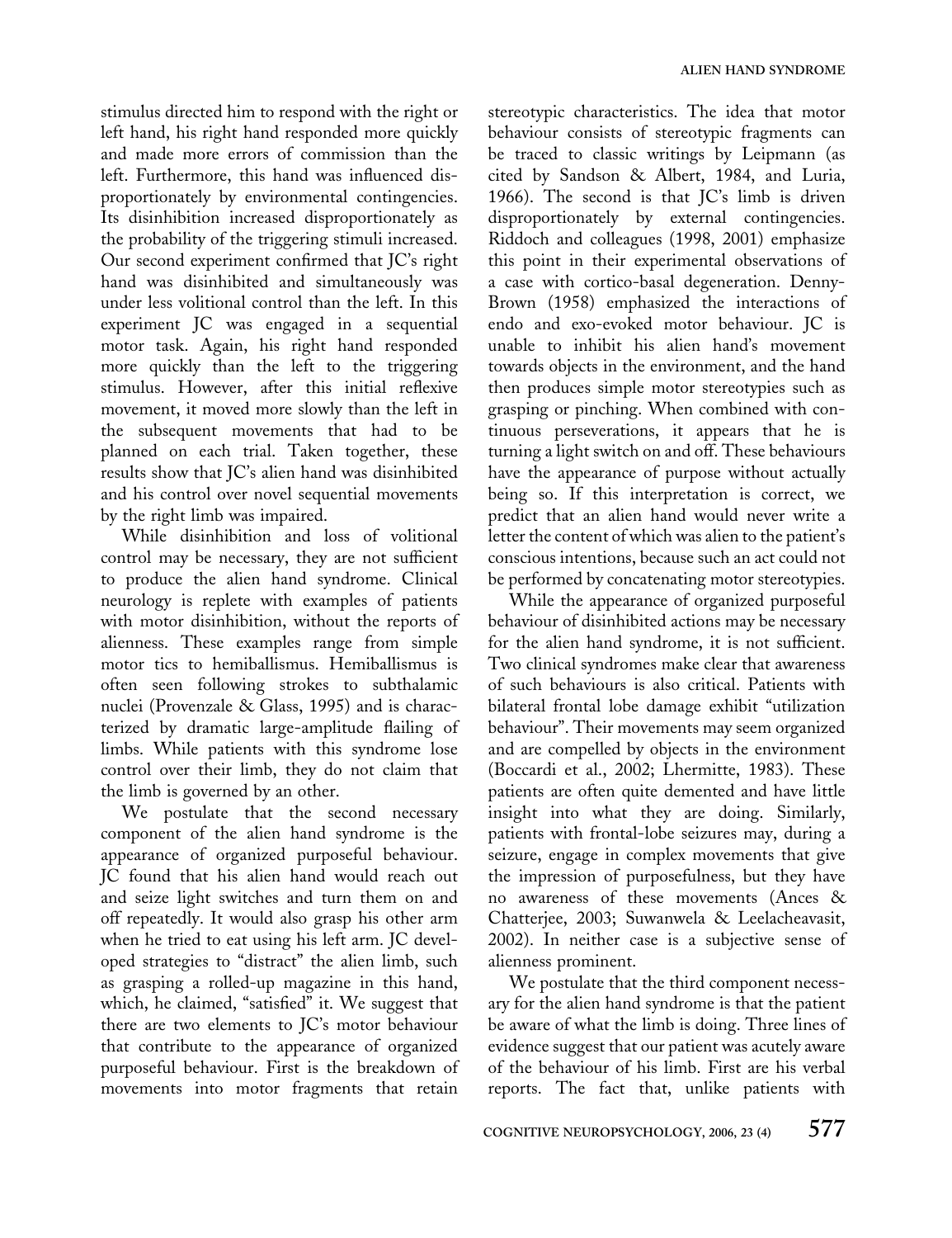stimulus directed him to respond with the right or left hand, his right hand responded more quickly and made more errors of commission than the left. Furthermore, this hand was influenced disproportionately by environmental contingencies. Its disinhibition increased disproportionately as the probability of the triggering stimuli increased. Our second experiment confirmed that JC's right hand was disinhibited and simultaneously was under less volitional control than the left. In this experiment JC was engaged in a sequential motor task. Again, his right hand responded more quickly than the left to the triggering stimulus. However, after this initial reflexive movement, it moved more slowly than the left in the subsequent movements that had to be planned on each trial. Taken together, these results show that JC's alien hand was disinhibited and his control over novel sequential movements by the right limb was impaired.

While disinhibition and loss of volitional control may be necessary, they are not sufficient to produce the alien hand syndrome. Clinical neurology is replete with examples of patients with motor disinhibition, without the reports of alienness. These examples range from simple motor tics to hemiballismus. Hemiballismus is often seen following strokes to subthalamic nuclei (Provenzale & Glass, 1995) and is characterized by dramatic large-amplitude flailing of limbs. While patients with this syndrome lose control over their limb, they do not claim that the limb is governed by an other.

We postulate that the second necessary component of the alien hand syndrome is the appearance of organized purposeful behaviour. JC found that his alien hand would reach out and seize light switches and turn them on and off repeatedly. It would also grasp his other arm when he tried to eat using his left arm. JC developed strategies to "distract" the alien limb, such as grasping a rolled-up magazine in this hand, which, he claimed, "satisfied" it. We suggest that there are two elements to JC's motor behaviour that contribute to the appearance of organized purposeful behaviour. First is the breakdown of movements into motor fragments that retain

stereotypic characteristics. The idea that motor behaviour consists of stereotypic fragments can be traced to classic writings by Leipmann (as cited by Sandson & Albert, 1984, and Luria, 1966). The second is that JC's limb is driven disproportionately by external contingencies. Riddoch and colleagues (1998, 2001) emphasize this point in their experimental observations of a case with cortico-basal degeneration. Denny-Brown (1958) emphasized the interactions of endo and exo-evoked motor behaviour. JC is unable to inhibit his alien hand's movement towards objects in the environment, and the hand then produces simple motor stereotypies such as grasping or pinching. When combined with continuous perseverations, it appears that he is turning a light switch on and off. These behaviours have the appearance of purpose without actually being so. If this interpretation is correct, we predict that an alien hand would never write a letter the content of which was alien to the patient's conscious intentions, because such an act could not be performed by concatenating motor stereotypies.

While the appearance of organized purposeful behaviour of disinhibited actions may be necessary for the alien hand syndrome, it is not sufficient. Two clinical syndromes make clear that awareness of such behaviours is also critical. Patients with bilateral frontal lobe damage exhibit "utilization behaviour". Their movements may seem organized and are compelled by objects in the environment (Boccardi et al., 2002; Lhermitte, 1983). These patients are often quite demented and have little insight into what they are doing. Similarly, patients with frontal-lobe seizures may, during a seizure, engage in complex movements that give the impression of purposefulness, but they have no awareness of these movements (Ances & Chatterjee, 2003; Suwanwela & Leelacheavasit, 2002). In neither case is a subjective sense of alienness prominent.

We postulate that the third component necessary for the alien hand syndrome is that the patient be aware of what the limb is doing. Three lines of evidence suggest that our patient was acutely aware of the behaviour of his limb. First are his verbal reports. The fact that, unlike patients with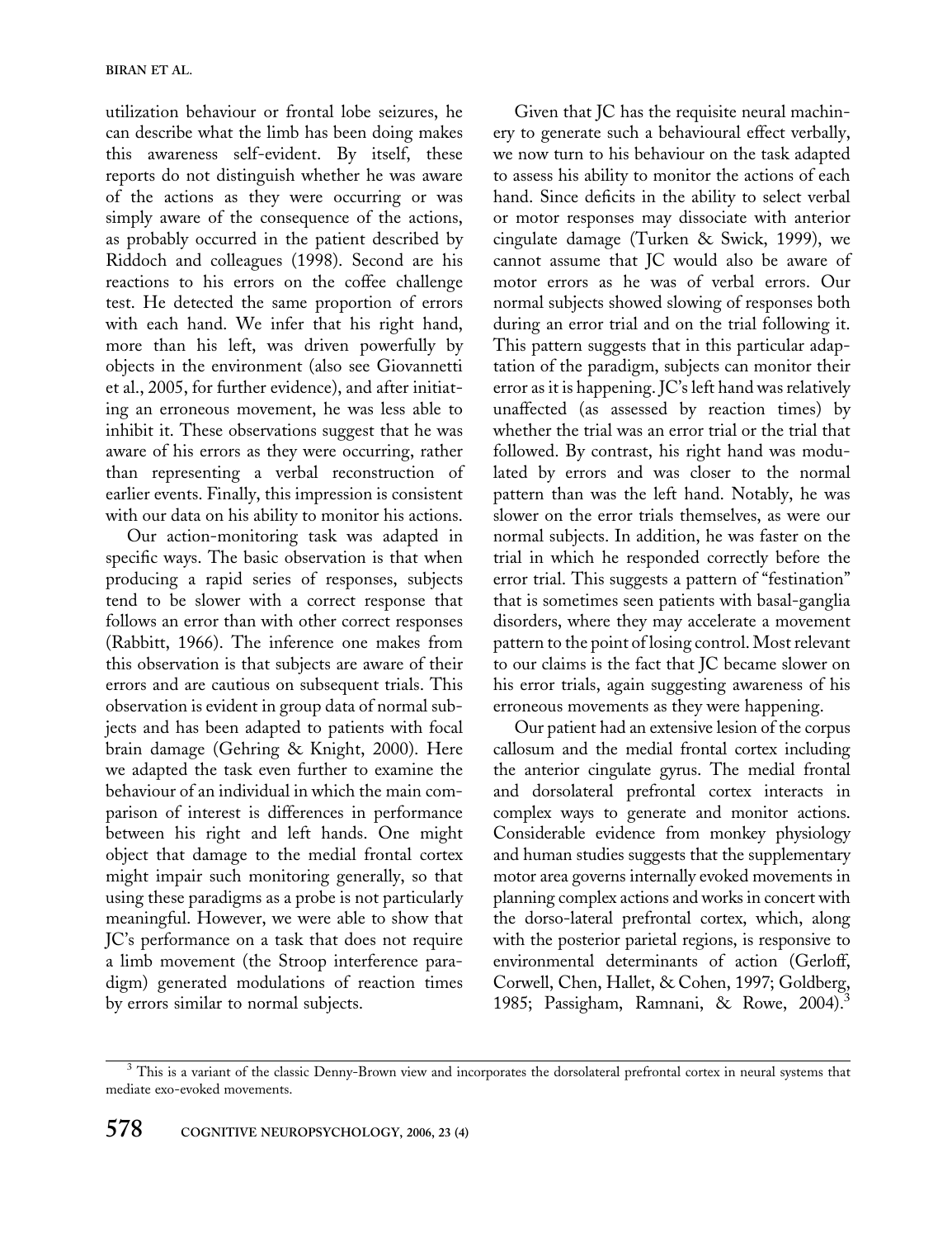utilization behaviour or frontal lobe seizures, he can describe what the limb has been doing makes this awareness self-evident. By itself, these reports do not distinguish whether he was aware of the actions as they were occurring or was simply aware of the consequence of the actions, as probably occurred in the patient described by Riddoch and colleagues (1998). Second are his reactions to his errors on the coffee challenge test. He detected the same proportion of errors with each hand. We infer that his right hand, more than his left, was driven powerfully by objects in the environment (also see Giovannetti et al., 2005, for further evidence), and after initiating an erroneous movement, he was less able to inhibit it. These observations suggest that he was aware of his errors as they were occurring, rather than representing a verbal reconstruction of earlier events. Finally, this impression is consistent with our data on his ability to monitor his actions.

Our action-monitoring task was adapted in specific ways. The basic observation is that when producing a rapid series of responses, subjects tend to be slower with a correct response that follows an error than with other correct responses (Rabbitt, 1966). The inference one makes from this observation is that subjects are aware of their errors and are cautious on subsequent trials. This observation is evident in group data of normal subjects and has been adapted to patients with focal brain damage (Gehring & Knight, 2000). Here we adapted the task even further to examine the behaviour of an individual in which the main comparison of interest is differences in performance between his right and left hands. One might object that damage to the medial frontal cortex might impair such monitoring generally, so that using these paradigms as a probe is not particularly meaningful. However, we were able to show that JC's performance on a task that does not require a limb movement (the Stroop interference paradigm) generated modulations of reaction times by errors similar to normal subjects.

Given that JC has the requisite neural machinery to generate such a behavioural effect verbally, we now turn to his behaviour on the task adapted to assess his ability to monitor the actions of each hand. Since deficits in the ability to select verbal or motor responses may dissociate with anterior cingulate damage (Turken & Swick, 1999), we cannot assume that JC would also be aware of motor errors as he was of verbal errors. Our normal subjects showed slowing of responses both during an error trial and on the trial following it. This pattern suggests that in this particular adaptation of the paradigm, subjects can monitor their error as it is happening. JC's left hand was relatively unaffected (as assessed by reaction times) by whether the trial was an error trial or the trial that followed. By contrast, his right hand was modulated by errors and was closer to the normal pattern than was the left hand. Notably, he was slower on the error trials themselves, as were our normal subjects. In addition, he was faster on the trial in which he responded correctly before the error trial. This suggests a pattern of "festination" that is sometimes seen patients with basal-ganglia disorders, where they may accelerate a movement pattern to the point of losing control. Most relevant to our claims is the fact that JC became slower on his error trials, again suggesting awareness of his erroneous movements as they were happening.

Our patient had an extensive lesion of the corpus callosum and the medial frontal cortex including the anterior cingulate gyrus. The medial frontal and dorsolateral prefrontal cortex interacts in complex ways to generate and monitor actions. Considerable evidence from monkey physiology and human studies suggests that the supplementary motor area governs internally evoked movements in planning complex actions and works in concert with the dorso-lateral prefrontal cortex, which, along with the posterior parietal regions, is responsive to environmental determinants of action (Gerloff, Corwell, Chen, Hallet, & Cohen, 1997; Goldberg, 1985; Passigham, Ramnani, & Rowe, 2004).<sup>3</sup>

 $3$  This is a variant of the classic Denny-Brown view and incorporates the dorsolateral prefrontal cortex in neural systems that mediate exo-evoked movements.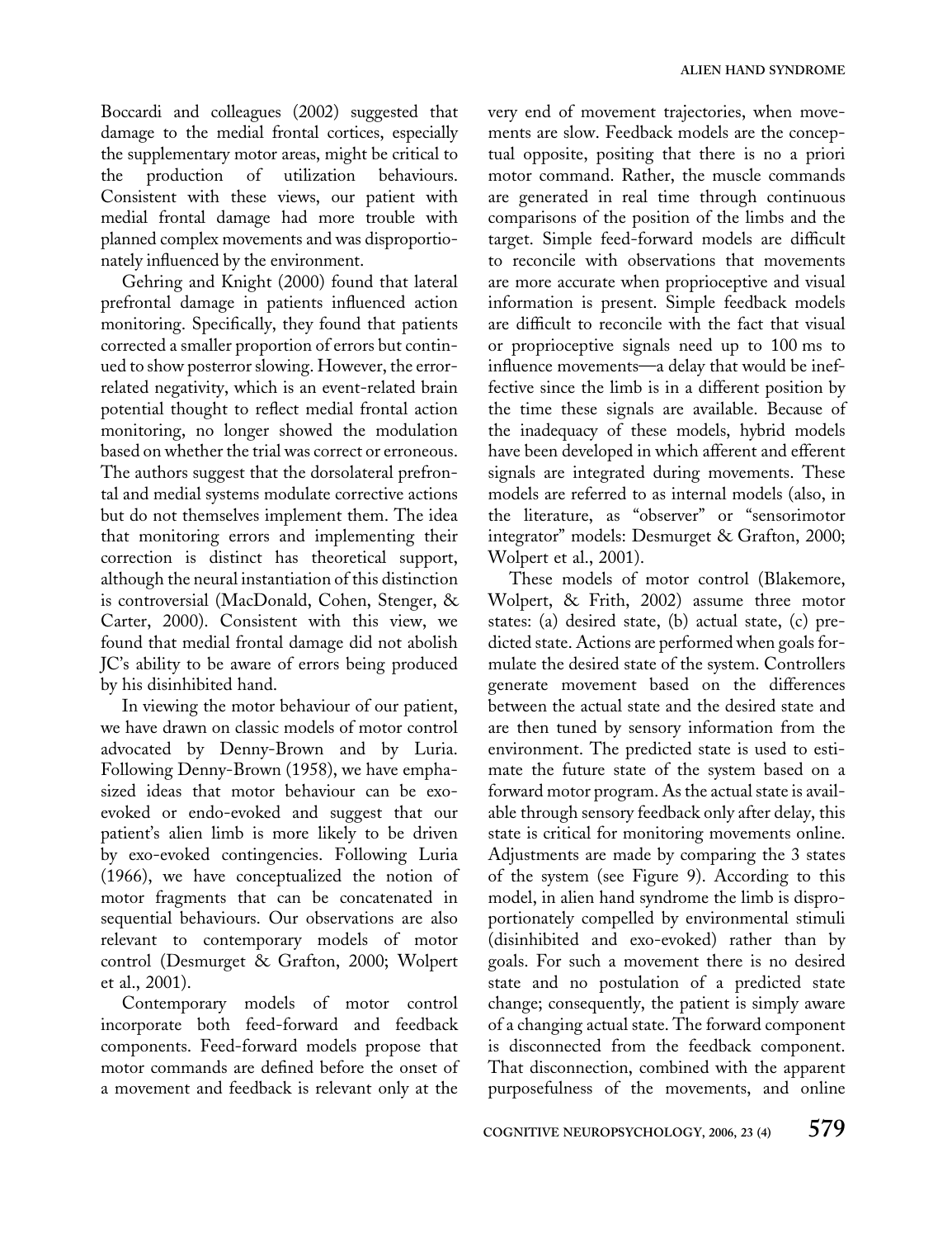Boccardi and colleagues (2002) suggested that damage to the medial frontal cortices, especially the supplementary motor areas, might be critical to the production of utilization behaviours. Consistent with these views, our patient with medial frontal damage had more trouble with planned complex movements and was disproportionately influenced by the environment.

Gehring and Knight (2000) found that lateral prefrontal damage in patients influenced action monitoring. Specifically, they found that patients corrected a smaller proportion of errors but continued to show posterror slowing. However, the errorrelated negativity, which is an event-related brain potential thought to reflect medial frontal action monitoring, no longer showed the modulation based on whether the trial was correct or erroneous. The authors suggest that the dorsolateral prefrontal and medial systems modulate corrective actions but do not themselves implement them. The idea that monitoring errors and implementing their correction is distinct has theoretical support, although the neural instantiation of this distinction is controversial (MacDonald, Cohen, Stenger, & Carter, 2000). Consistent with this view, we found that medial frontal damage did not abolish JC's ability to be aware of errors being produced by his disinhibited hand.

In viewing the motor behaviour of our patient, we have drawn on classic models of motor control advocated by Denny-Brown and by Luria. Following Denny-Brown (1958), we have emphasized ideas that motor behaviour can be exoevoked or endo-evoked and suggest that our patient's alien limb is more likely to be driven by exo-evoked contingencies. Following Luria (1966), we have conceptualized the notion of motor fragments that can be concatenated in sequential behaviours. Our observations are also relevant to contemporary models of motor control (Desmurget & Grafton, 2000; Wolpert et al., 2001).

Contemporary models of motor control incorporate both feed-forward and feedback components. Feed-forward models propose that motor commands are defined before the onset of a movement and feedback is relevant only at the very end of movement trajectories, when movements are slow. Feedback models are the conceptual opposite, positing that there is no a priori motor command. Rather, the muscle commands are generated in real time through continuous comparisons of the position of the limbs and the target. Simple feed-forward models are difficult to reconcile with observations that movements are more accurate when proprioceptive and visual information is present. Simple feedback models are difficult to reconcile with the fact that visual or proprioceptive signals need up to 100 ms to influence movements—a delay that would be ineffective since the limb is in a different position by the time these signals are available. Because of the inadequacy of these models, hybrid models have been developed in which afferent and efferent signals are integrated during movements. These models are referred to as internal models (also, in the literature, as "observer" or "sensorimotor integrator" models: Desmurget & Grafton, 2000; Wolpert et al., 2001).

These models of motor control (Blakemore, Wolpert, & Frith, 2002) assume three motor states: (a) desired state, (b) actual state, (c) predicted state. Actions are performed when goals formulate the desired state of the system. Controllers generate movement based on the differences between the actual state and the desired state and are then tuned by sensory information from the environment. The predicted state is used to estimate the future state of the system based on a forward motor program. As the actual state is available through sensory feedback only after delay, this state is critical for monitoring movements online. Adjustments are made by comparing the 3 states of the system (see Figure 9). According to this model, in alien hand syndrome the limb is disproportionately compelled by environmental stimuli (disinhibited and exo-evoked) rather than by goals. For such a movement there is no desired state and no postulation of a predicted state change; consequently, the patient is simply aware of a changing actual state. The forward component is disconnected from the feedback component. That disconnection, combined with the apparent purposefulness of the movements, and online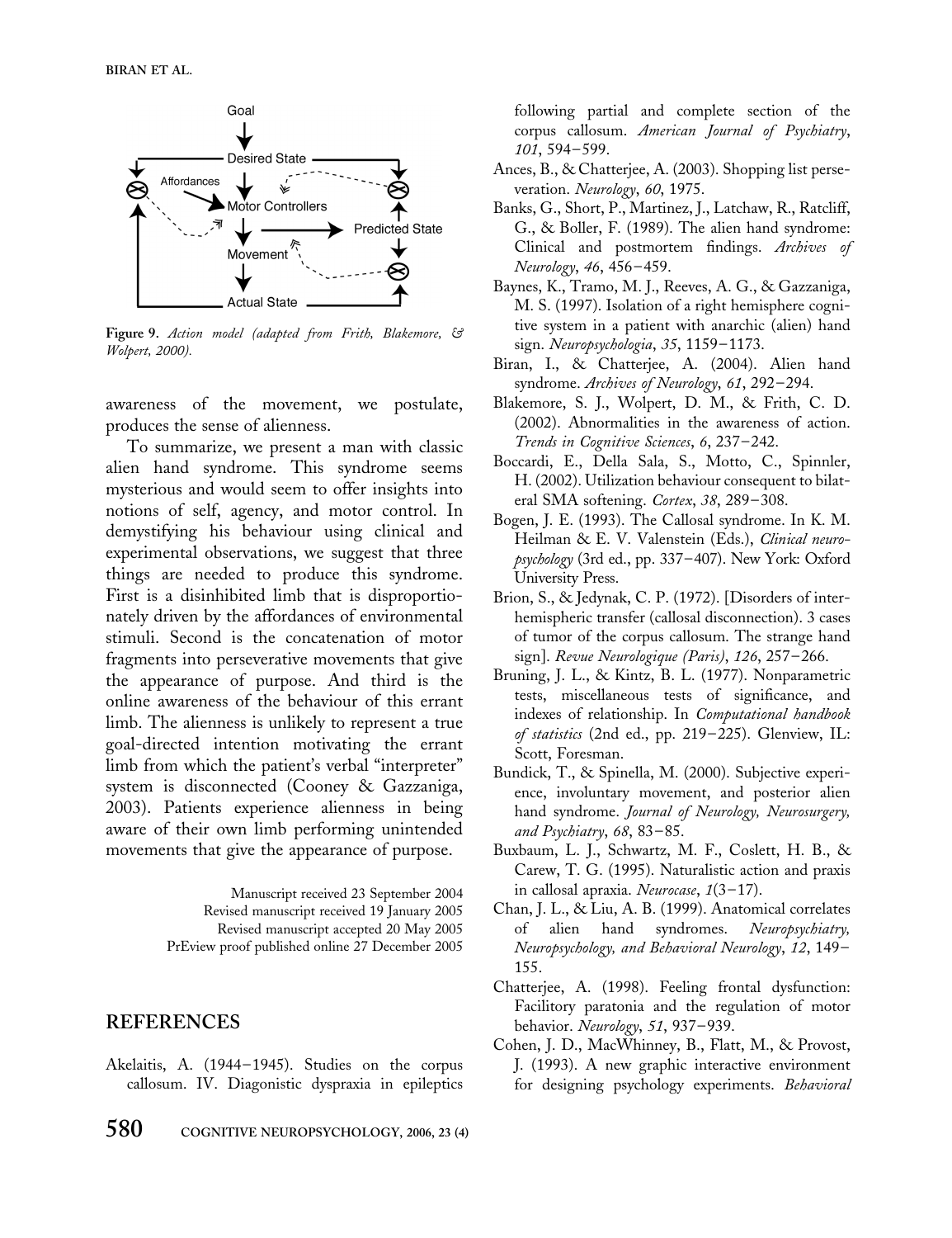

Figure 9. Action model (adapted from Frith, Blakemore, & Wolpert, 2000).

awareness of the movement, we postulate, produces the sense of alienness.

To summarize, we present a man with classic alien hand syndrome. This syndrome seems mysterious and would seem to offer insights into notions of self, agency, and motor control. In demystifying his behaviour using clinical and experimental observations, we suggest that three things are needed to produce this syndrome. First is a disinhibited limb that is disproportionately driven by the affordances of environmental stimuli. Second is the concatenation of motor fragments into perseverative movements that give the appearance of purpose. And third is the online awareness of the behaviour of this errant limb. The alienness is unlikely to represent a true goal-directed intention motivating the errant limb from which the patient's verbal "interpreter" system is disconnected (Cooney & Gazzaniga, 2003). Patients experience alienness in being aware of their own limb performing unintended movements that give the appearance of purpose.

> Manuscript received 23 September 2004 Revised manuscript received 19 January 2005 Revised manuscript accepted 20 May 2005 PrEview proof published online 27 December 2005

## REFERENCES

Akelaitis, A. (1944–1945). Studies on the corpus callosum. IV. Diagonistic dyspraxia in epileptics following partial and complete section of the corpus callosum. American Journal of Psychiatry, 101, 594–599.

- Ances, B., & Chatterjee, A. (2003). Shopping list perseveration. Neurology, 60, 1975.
- Banks, G., Short, P., Martinez, J., Latchaw, R., Ratcliff, G., & Boller, F. (1989). The alien hand syndrome: Clinical and postmortem findings. Archives of Neurology, 46, 456–459.
- Baynes, K., Tramo, M. J., Reeves, A. G., & Gazzaniga, M. S. (1997). Isolation of a right hemisphere cognitive system in a patient with anarchic (alien) hand sign. Neuropsychologia, 35, 1159-1173.
- Biran, I., & Chatterjee, A. (2004). Alien hand syndrome. Archives of Neurology, 61, 292–294.
- Blakemore, S. J., Wolpert, D. M., & Frith, C. D. (2002). Abnormalities in the awareness of action. Trends in Cognitive Sciences, 6, 237–242.
- Boccardi, E., Della Sala, S., Motto, C., Spinnler, H. (2002). Utilization behaviour consequent to bilateral SMA softening. Cortex, 38, 289-308.
- Bogen, J. E. (1993). The Callosal syndrome. In K. M. Heilman & E. V. Valenstein (Eds.), Clinical neuropsychology (3rd ed., pp. 337–407). New York: Oxford University Press.
- Brion, S., & Jedynak, C. P. (1972). [Disorders of interhemispheric transfer (callosal disconnection). 3 cases of tumor of the corpus callosum. The strange hand sign]. Revue Neurologique (Paris), 126, 257–266.
- Bruning, J. L., & Kintz, B. L. (1977). Nonparametric tests, miscellaneous tests of significance, and indexes of relationship. In Computational handbook of statistics (2nd ed., pp. 219–225). Glenview, IL: Scott, Foresman.
- Bundick, T., & Spinella, M. (2000). Subjective experience, involuntary movement, and posterior alien hand syndrome. Journal of Neurology, Neurosurgery, and Psychiatry, 68, 83–85.
- Buxbaum, L. J., Schwartz, M. F., Coslett, H. B., & Carew, T. G. (1995). Naturalistic action and praxis in callosal apraxia. Neurocase, 1(3–17).
- Chan, J. L., & Liu, A. B. (1999). Anatomical correlates of alien hand syndromes. Neuropsychiatry, Neuropsychology, and Behavioral Neurology, 12, 149– 155.
- Chatterjee, A. (1998). Feeling frontal dysfunction: Facilitory paratonia and the regulation of motor behavior. Neurology, 51, 937–939.
- Cohen, J. D., MacWhinney, B., Flatt, M., & Provost, J. (1993). A new graphic interactive environment for designing psychology experiments. Behavioral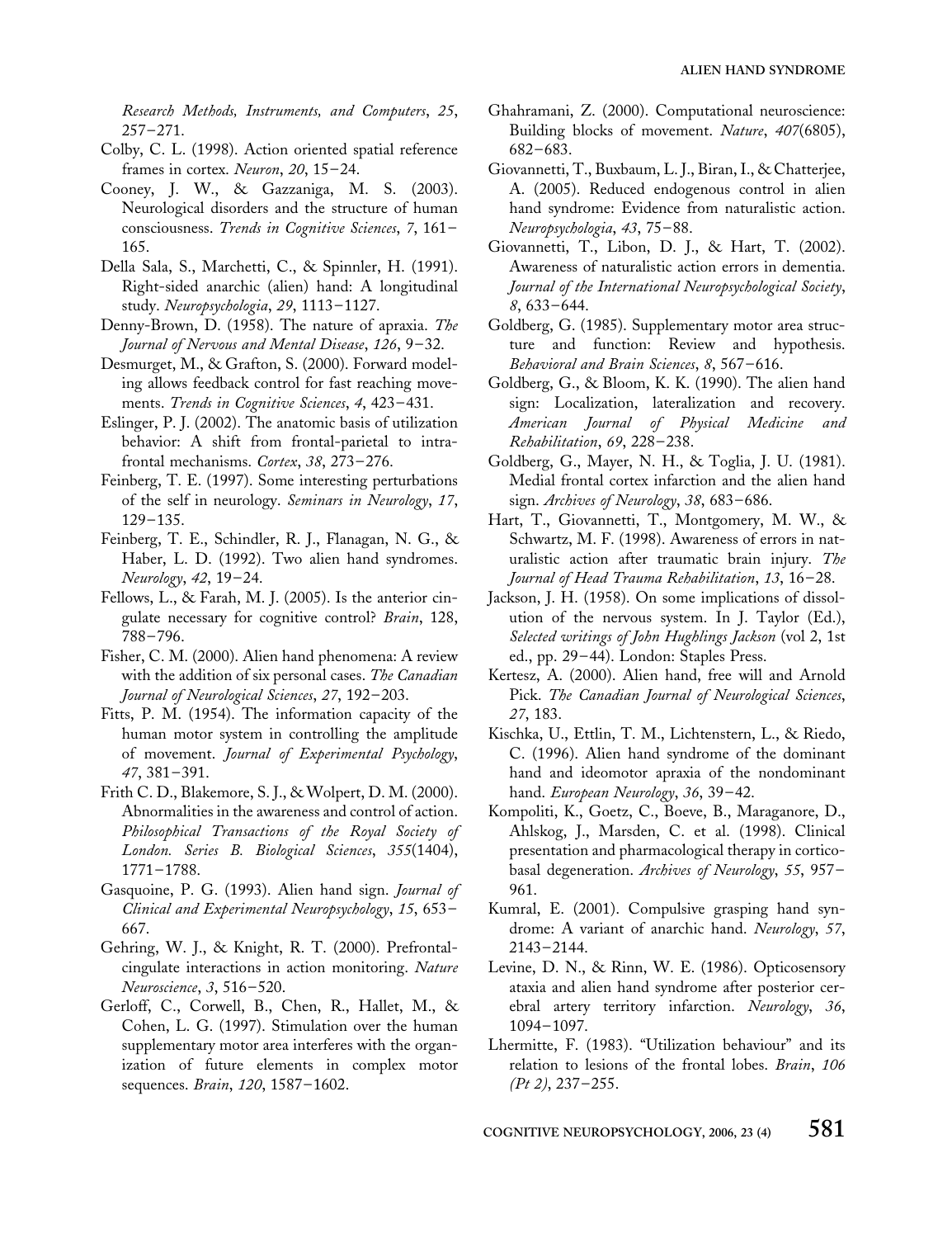Research Methods, Instruments, and Computers, 25, 257–271.

- Colby, C. L. (1998). Action oriented spatial reference frames in cortex. Neuron, 20, 15-24.
- Cooney, J. W., & Gazzaniga, M. S. (2003). Neurological disorders and the structure of human consciousness. Trends in Cognitive Sciences, 7, 161– 165.
- Della Sala, S., Marchetti, C., & Spinnler, H. (1991). Right-sided anarchic (alien) hand: A longitudinal study. Neuropsychologia, 29, 1113–1127.
- Denny-Brown, D. (1958). The nature of apraxia. The Journal of Nervous and Mental Disease, 126, 9–32.
- Desmurget, M., & Grafton, S. (2000). Forward modeling allows feedback control for fast reaching movements. Trends in Cognitive Sciences, 4, 423-431.
- Eslinger, P. J. (2002). The anatomic basis of utilization behavior: A shift from frontal-parietal to intrafrontal mechanisms. Cortex, 38, 273-276.
- Feinberg, T. E. (1997). Some interesting perturbations of the self in neurology. Seminars in Neurology, 17, 129–135.
- Feinberg, T. E., Schindler, R. J., Flanagan, N. G., & Haber, L. D. (1992). Two alien hand syndromes. Neurology, 42, 19–24.
- Fellows, L., & Farah, M. J. (2005). Is the anterior cingulate necessary for cognitive control? Brain, 128, 788–796.
- Fisher, C. M. (2000). Alien hand phenomena: A review with the addition of six personal cases. The Canadian Journal of Neurological Sciences, 27, 192–203.
- Fitts, P. M. (1954). The information capacity of the human motor system in controlling the amplitude of movement. Journal of Experimental Psychology, 47, 381–391.
- Frith C. D., Blakemore, S. J., & Wolpert, D. M. (2000). Abnormalities in the awareness and control of action. Philosophical Transactions of the Royal Society of London. Series B. Biological Sciences, 355(1404), 1771–1788.
- Gasquoine, P. G. (1993). Alien hand sign. Journal of Clinical and Experimental Neuropsychology, 15, 653– 667.
- Gehring, W. J., & Knight, R. T. (2000). Prefrontalcingulate interactions in action monitoring. Nature Neuroscience, 3, 516–520.
- Gerloff, C., Corwell, B., Chen, R., Hallet, M., & Cohen, L. G. (1997). Stimulation over the human supplementary motor area interferes with the organization of future elements in complex motor sequences. Brain, 120, 1587–1602.
- Ghahramani, Z. (2000). Computational neuroscience: Building blocks of movement. Nature, 407(6805), 682–683.
- Giovannetti, T., Buxbaum, L. J., Biran, I., & Chatterjee, A. (2005). Reduced endogenous control in alien hand syndrome: Evidence from naturalistic action. Neuropsychologia, 43, 75–88.
- Giovannetti, T., Libon, D. J., & Hart, T. (2002). Awareness of naturalistic action errors in dementia. Journal of the International Neuropsychological Society, 8, 633–644.
- Goldberg, G. (1985). Supplementary motor area structure and function: Review and hypothesis. Behavioral and Brain Sciences, 8, 567–616.
- Goldberg, G., & Bloom, K. K. (1990). The alien hand sign: Localization, lateralization and recovery. American Journal of Physical Medicine and Rehabilitation, 69, 228–238.
- Goldberg, G., Mayer, N. H., & Toglia, J. U. (1981). Medial frontal cortex infarction and the alien hand sign. Archives of Neurology, 38, 683–686.
- Hart, T., Giovannetti, T., Montgomery, M. W., & Schwartz, M. F. (1998). Awareness of errors in naturalistic action after traumatic brain injury. The Journal of Head Trauma Rehabilitation, 13, 16–28.
- Jackson, J. H. (1958). On some implications of dissolution of the nervous system. In J. Taylor (Ed.), Selected writings of John Hughlings Jackson (vol 2, 1st ed., pp. 29–44). London: Staples Press.
- Kertesz, A. (2000). Alien hand, free will and Arnold Pick. The Canadian Journal of Neurological Sciences, 27, 183.
- Kischka, U., Ettlin, T. M., Lichtenstern, L., & Riedo, C. (1996). Alien hand syndrome of the dominant hand and ideomotor apraxia of the nondominant hand. European Neurology, 36, 39-42.
- Kompoliti, K., Goetz, C., Boeve, B., Maraganore, D., Ahlskog, J., Marsden, C. et al. (1998). Clinical presentation and pharmacological therapy in corticobasal degeneration. Archives of Neurology, 55, 957– 961.
- Kumral, E. (2001). Compulsive grasping hand syndrome: A variant of anarchic hand. Neurology, 57, 2143–2144.
- Levine, D. N., & Rinn, W. E. (1986). Opticosensory ataxia and alien hand syndrome after posterior cerebral artery territory infarction. Neurology, 36, 1094–1097.
- Lhermitte, F. (1983). "Utilization behaviour" and its relation to lesions of the frontal lobes. Brain, 106 (Pt 2), 237–255.